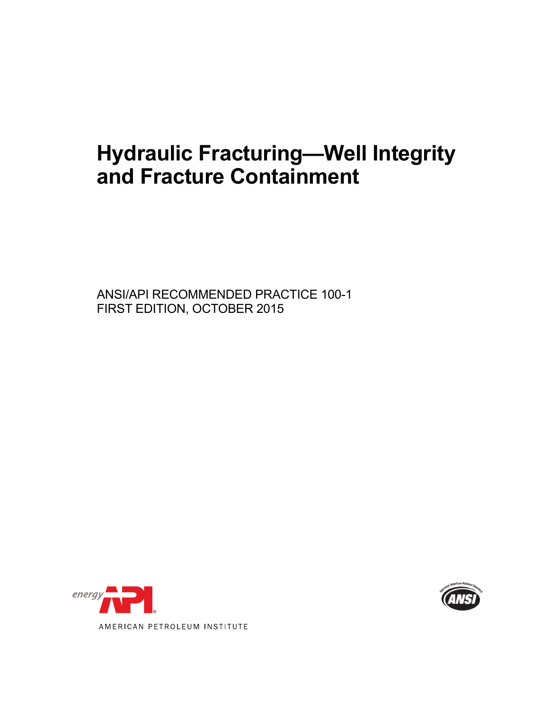# **Hydraulic Fracturing—Well Integrity and Fracture Containment**

ANSI/API RECOMMENDED PRACTICE 100-1 FIRST EDITION, OCTOBER 2015



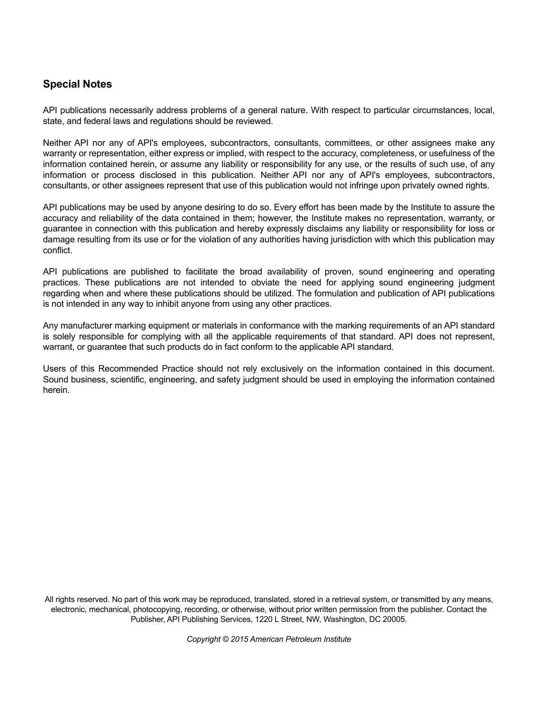# **Special Notes**

API publications necessarily address problems of a general nature. With respect to particular circumstances, local, state, and federal laws and regulations should be reviewed.

Neither API nor any of API's employees, subcontractors, consultants, committees, or other assignees make any warranty or representation, either express or implied, with respect to the accuracy, completeness, or usefulness of the information contained herein, or assume any liability or responsibility for any use, or the results of such use, of any information or process disclosed in this publication. Neither API nor any of API's employees, subcontractors, consultants, or other assignees represent that use of this publication would not infringe upon privately owned rights.

API publications may be used by anyone desiring to do so. Every effort has been made by the Institute to assure the accuracy and reliability of the data contained in them; however, the Institute makes no representation, warranty, or guarantee in connection with this publication and hereby expressly disclaims any liability or responsibility for loss or damage resulting from its use or for the violation of any authorities having jurisdiction with which this publication may conflict.

API publications are published to facilitate the broad availability of proven, sound engineering and operating practices. These publications are not intended to obviate the need for applying sound engineering judgment regarding when and where these publications should be utilized. The formulation and publication of API publications is not intended in any way to inhibit anyone from using any other practices.

Any manufacturer marking equipment or materials in conformance with the marking requirements of an API standard is solely responsible for complying with all the applicable requirements of that standard. API does not represent, warrant, or guarantee that such products do in fact conform to the applicable API standard.

Users of this Recommended Practice should not rely exclusively on the information contained in this document. Sound business, scientific, engineering, and safety judgment should be used in employing the information contained herein.

All rights reserved. No part of this work may be reproduced, translated, stored in a retrieval system, or transmitted by any means, electronic, mechanical, photocopying, recording, or otherwise, without prior written permission from the publisher. Contact the Publisher, API Publishing Services, 1220 L Street, NW, Washington, DC 20005.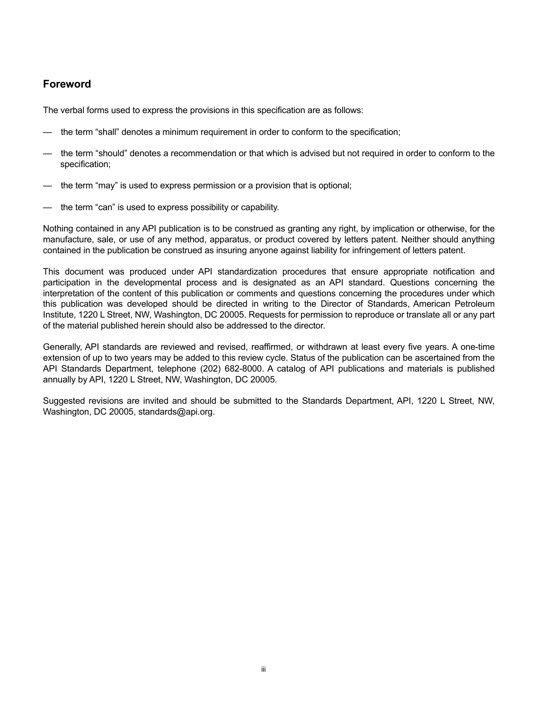# **Foreword**

The verbal forms used to express the provisions in this specification are as follows:

- the term "shall" denotes a minimum requirement in order to conform to the specification;
- the term "should" denotes a recommendation or that which is advised but not required in order to conform to the specification;
- the term "may" is used to express permission or a provision that is optional;
- the term "can" is used to express possibility or capability.

Nothing contained in any API publication is to be construed as granting any right, by implication or otherwise, for the manufacture, sale, or use of any method, apparatus, or product covered by letters patent. Neither should anything contained in the publication be construed as insuring anyone against liability for infringement of letters patent.

This document was produced under API standardization procedures that ensure appropriate notification and participation in the developmental process and is designated as an API standard. Questions concerning the interpretation of the content of this publication or comments and questions concerning the procedures under which this publication was developed should be directed in writing to the Director of Standards, American Petroleum Institute, 1220 L Street, NW, Washington, DC 20005. Requests for permission to reproduce or translate all or any part of the material published herein should also be addressed to the director.

Generally, API standards are reviewed and revised, reaffirmed, or withdrawn at least every five years. A one-time extension of up to two years may be added to this review cycle. Status of the publication can be ascertained from the API Standards Department, telephone (202) 682-8000. A catalog of API publications and materials is published annually by API, 1220 L Street, NW, Washington, DC 20005.

Suggested revisions are invited and should be submitted to the Standards Department, API, 1220 L Street, NW, Washington, DC 20005, standards@api.org.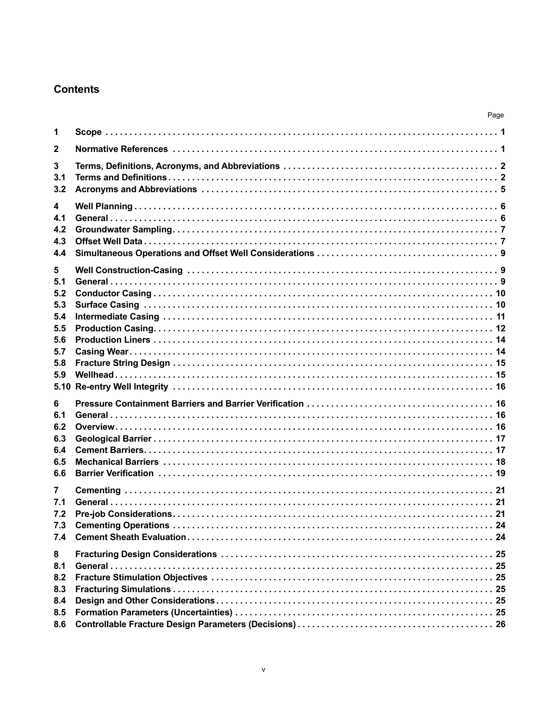# **Contents**

|                                                                  | Page |
|------------------------------------------------------------------|------|
| 1                                                                |      |
| $\mathbf{2}$                                                     |      |
| 3<br>3.1<br>3.2                                                  |      |
| 4<br>4.1<br>4.2<br>4.3<br>4.4                                    |      |
| 5<br>5.1<br>5.2<br>5.3<br>5.4<br>5.5<br>5.6<br>5.7<br>5.8<br>5.9 |      |
| 6<br>6.1<br>6.2<br>6.3<br>6.4<br>6.5<br>6.6                      |      |
| $\overline{7}$<br>7.1<br>7.2<br>7.3<br>7.4                       |      |
| 8<br>8.1<br>8.2<br>8.3<br>8.4<br>8.5<br>8.6                      |      |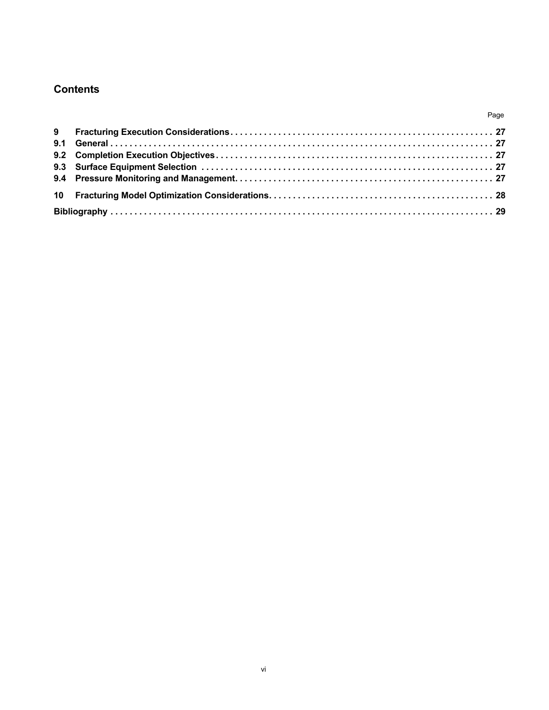# **Contents**

Page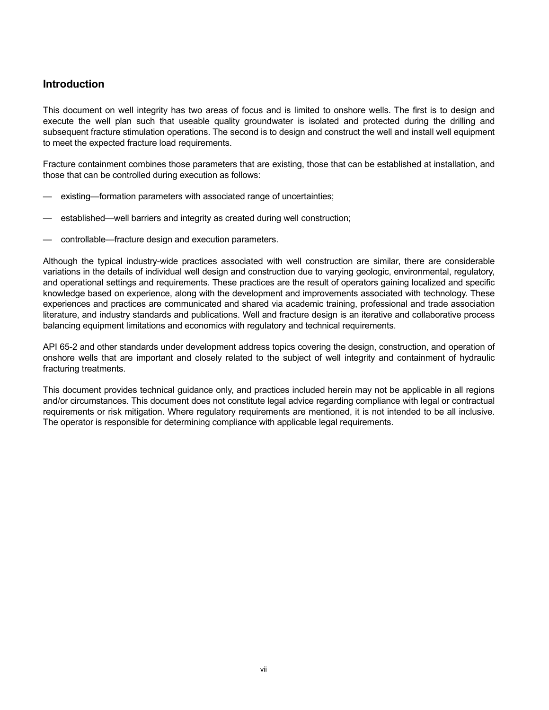# **Introduction**

This document on well integrity has two areas of focus and is limited to onshore wells. The first is to design and execute the well plan such that useable quality groundwater is isolated and protected during the drilling and subsequent fracture stimulation operations. The second is to design and construct the well and install well equipment to meet the expected fracture load requirements.

Fracture containment combines those parameters that are existing, those that can be established at installation, and those that can be controlled during execution as follows:

- existing—formation parameters with associated range of uncertainties;
- established—well barriers and integrity as created during well construction;
- controllable—fracture design and execution parameters.

Although the typical industry-wide practices associated with well construction are similar, there are considerable variations in the details of individual well design and construction due to varying geologic, environmental, regulatory, and operational settings and requirements. These practices are the result of operators gaining localized and specific knowledge based on experience, along with the development and improvements associated with technology. These experiences and practices are communicated and shared via academic training, professional and trade association literature, and industry standards and publications. Well and fracture design is an iterative and collaborative process balancing equipment limitations and economics with regulatory and technical requirements.

API 65-2 and other standards under development address topics covering the design, construction, and operation of onshore wells that are important and closely related to the subject of well integrity and containment of hydraulic fracturing treatments.

This document provides technical guidance only, and practices included herein may not be applicable in all regions and/or circumstances. This document does not constitute legal advice regarding compliance with legal or contractual requirements or risk mitigation. Where regulatory requirements are mentioned, it is not intended to be all inclusive. The operator is responsible for determining compliance with applicable legal requirements.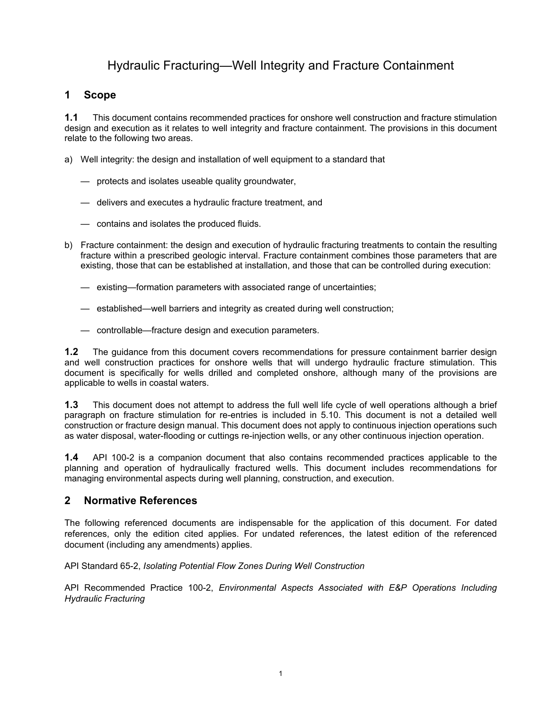# Hydraulic Fracturing—Well Integrity and Fracture Containment

# **1 Scope**

**1.1** This document contains recommended practices for onshore well construction and fracture stimulation design and execution as it relates to well integrity and fracture containment. The provisions in this document relate to the following two areas.

- a) Well integrity: the design and installation of well equipment to a standard that
	- protects and isolates useable quality groundwater,
	- delivers and executes a hydraulic fracture treatment, and
	- contains and isolates the produced fluids.
- b) Fracture containment: the design and execution of hydraulic fracturing treatments to contain the resulting fracture within a prescribed geologic interval. Fracture containment combines those parameters that are existing, those that can be established at installation, and those that can be controlled during execution:
	- existing—formation parameters with associated range of uncertainties;
	- established—well barriers and integrity as created during well construction;
	- controllable—fracture design and execution parameters.

**1.2** The guidance from this document covers recommendations for pressure containment barrier design and well construction practices for onshore wells that will undergo hydraulic fracture stimulation. This document is specifically for wells drilled and completed onshore, although many of the provisions are applicable to wells in coastal waters.

**1.3** This document does not attempt to address the full well life cycle of well operations although a brief paragraph on fracture stimulation for re-entries is included in 5.10. This document is not a detailed well construction or fracture design manual. This document does not apply to continuous injection operations such as water disposal, water-flooding or cuttings re-injection wells, or any other continuous injection operation.

**1.4** API 100-2 is a companion document that also contains recommended practices applicable to the planning and operation of hydraulically fractured wells. This document includes recommendations for managing environmental aspects during well planning, construction, and execution.

# **2 Normative References**

The following referenced documents are indispensable for the application of this document. For dated references, only the edition cited applies. For undated references, the latest edition of the referenced document (including any amendments) applies.

API Standard 65-2, *Isolating Potential Flow Zones During Well Construction* 

API Recommended Practice 100-2, *Environmental Aspects Associated with E&P Operations Including Hydraulic Fracturing*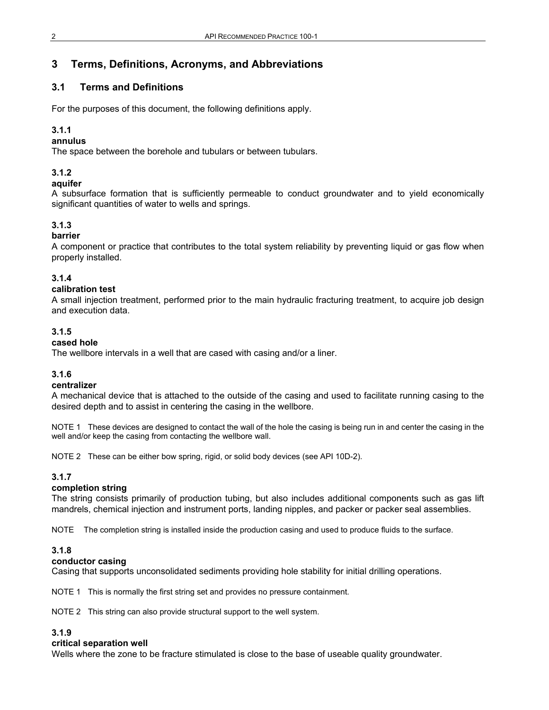# **3 Terms, Definitions, Acronyms, and Abbreviations**

# **3.1 Terms and Definitions**

For the purposes of this document, the following definitions apply.

## **3.1.1**

#### **annulus**

The space between the borehole and tubulars or between tubulars.

# **3.1.2**

#### **aquifer**

A subsurface formation that is sufficiently permeable to conduct groundwater and to yield economically significant quantities of water to wells and springs.

## **3.1.3**

#### **barrier**

A component or practice that contributes to the total system reliability by preventing liquid or gas flow when properly installed.

## **3.1.4**

#### **calibration test**

A small injection treatment, performed prior to the main hydraulic fracturing treatment, to acquire job design and execution data.

#### **3.1.5**

#### **cased hole**

The wellbore intervals in a well that are cased with casing and/or a liner.

#### **3.1.6**

#### **centralizer**

A mechanical device that is attached to the outside of the casing and used to facilitate running casing to the desired depth and to assist in centering the casing in the wellbore.

NOTE 1 These devices are designed to contact the wall of the hole the casing is being run in and center the casing in the well and/or keep the casing from contacting the wellbore wall.

NOTE 2 These can be either bow spring, rigid, or solid body devices (see API 10D-2).

#### **3.1.7**

#### **completion string**

The string consists primarily of production tubing, but also includes additional components such as gas lift mandrels, chemical injection and instrument ports, landing nipples, and packer or packer seal assemblies.

NOTE The completion string is installed inside the production casing and used to produce fluids to the surface.

#### **3.1.8**

#### **conductor casing**

Casing that supports unconsolidated sediments providing hole stability for initial drilling operations.

NOTE 1 This is normally the first string set and provides no pressure containment.

NOTE 2 This string can also provide structural support to the well system.

# **3.1.9**

#### **critical separation well**

Wells where the zone to be fracture stimulated is close to the base of useable quality groundwater.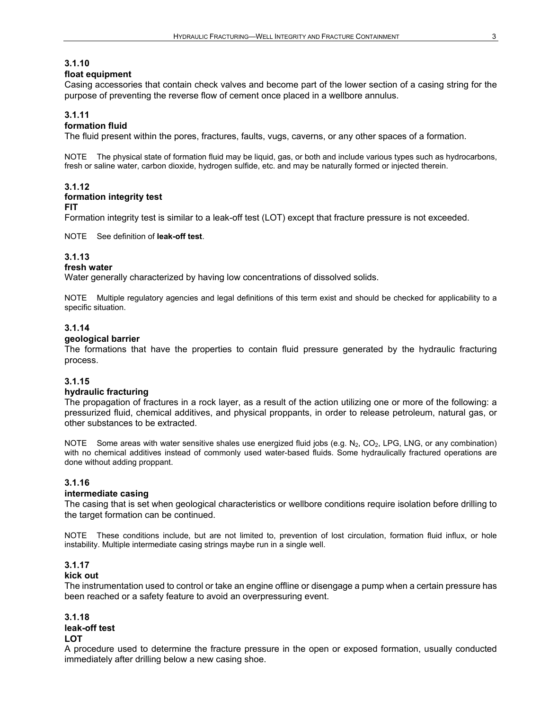#### **3.1.10 float equipment**

Casing accessories that contain check valves and become part of the lower section of a casing string for the purpose of preventing the reverse flow of cement once placed in a wellbore annulus.

# **3.1.11**

#### **formation fluid**

The fluid present within the pores, fractures, faults, vugs, caverns, or any other spaces of a formation.

NOTE The physical state of formation fluid may be liquid, gas, or both and include various types such as hydrocarbons, fresh or saline water, carbon dioxide, hydrogen sulfide, etc. and may be naturally formed or injected therein.

#### **3.1.12**

#### **formation integrity test**

#### **FIT**

Formation integrity test is similar to a leak-off test (LOT) except that fracture pressure is not exceeded.

NOTE See definition of **leak-off test**.

#### **3.1.13**

#### **fresh water**

Water generally characterized by having low concentrations of dissolved solids.

NOTE Multiple regulatory agencies and legal definitions of this term exist and should be checked for applicability to a specific situation.

#### **3.1.14**

#### **geological barrier**

The formations that have the properties to contain fluid pressure generated by the hydraulic fracturing process.

#### **3.1.15**

#### **hydraulic fracturing**

The propagation of fractures in a rock layer, as a result of the action utilizing one or more of the following: a pressurized fluid, chemical additives, and physical proppants, in order to release petroleum, natural gas, or other substances to be extracted.

NOTE Some areas with water sensitive shales use energized fluid jobs (e.g.  $N_2$ ,  $CO_2$ , LPG, LNG, or any combination) with no chemical additives instead of commonly used water-based fluids. Some hydraulically fractured operations are done without adding proppant.

#### **3.1.16**

#### **intermediate casing**

The casing that is set when geological characteristics or wellbore conditions require isolation before drilling to the target formation can be continued.

NOTE These conditions include, but are not limited to, prevention of lost circulation, formation fluid influx, or hole instability. Multiple intermediate casing strings maybe run in a single well.

#### **3.1.17**

#### **kick out**

The instrumentation used to control or take an engine offline or disengage a pump when a certain pressure has been reached or a safety feature to avoid an overpressuring event.

#### **3.1.18 leak-off test LOT**

A procedure used to determine the fracture pressure in the open or exposed formation, usually conducted immediately after drilling below a new casing shoe.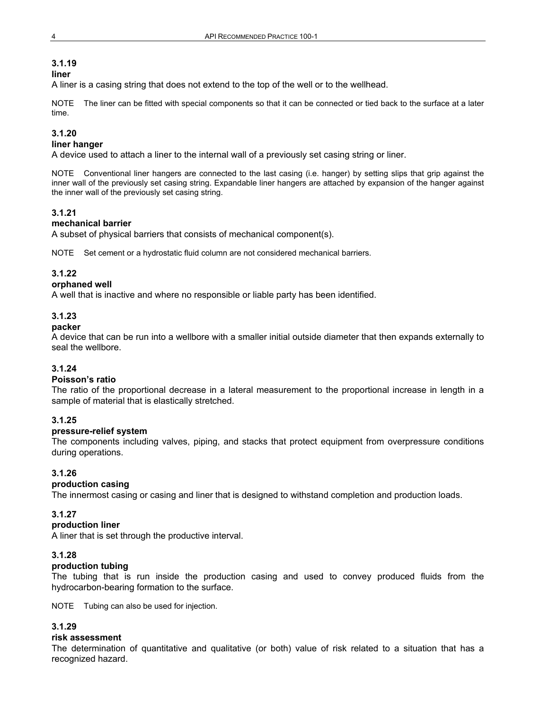# **3.1.19**

#### **liner**

A liner is a casing string that does not extend to the top of the well or to the wellhead.

NOTE The liner can be fitted with special components so that it can be connected or tied back to the surface at a later time.

## **3.1.20**

#### **liner hanger**

A device used to attach a liner to the internal wall of a previously set casing string or liner.

NOTE Conventional liner hangers are connected to the last casing (i.e. hanger) by setting slips that grip against the inner wall of the previously set casing string. Expandable liner hangers are attached by expansion of the hanger against the inner wall of the previously set casing string.

#### **3.1.21**

#### **mechanical barrier**

A subset of physical barriers that consists of mechanical component(s).

NOTE Set cement or a hydrostatic fluid column are not considered mechanical barriers.

#### **3.1.22**

#### **orphaned well**

A well that is inactive and where no responsible or liable party has been identified.

#### **3.1.23**

#### **packer**

A device that can be run into a wellbore with a smaller initial outside diameter that then expands externally to seal the wellbore.

#### **3.1.24**

#### **Poisson's ratio**

The ratio of the proportional decrease in a lateral measurement to the proportional increase in length in a sample of material that is elastically stretched.

#### **3.1.25**

#### **pressure-relief system**

The components including valves, piping, and stacks that protect equipment from overpressure conditions during operations.

#### **3.1.26**

#### **production casing**

The innermost casing or casing and liner that is designed to withstand completion and production loads.

#### **3.1.27**

#### **production liner**

A liner that is set through the productive interval.

#### **3.1.28**

#### **production tubing**

The tubing that is run inside the production casing and used to convey produced fluids from the hydrocarbon-bearing formation to the surface.

NOTE Tubing can also be used for injection.

#### **3.1.29**

#### **risk assessment**

The determination of quantitative and qualitative (or both) value of risk related to a situation that has a recognized hazard.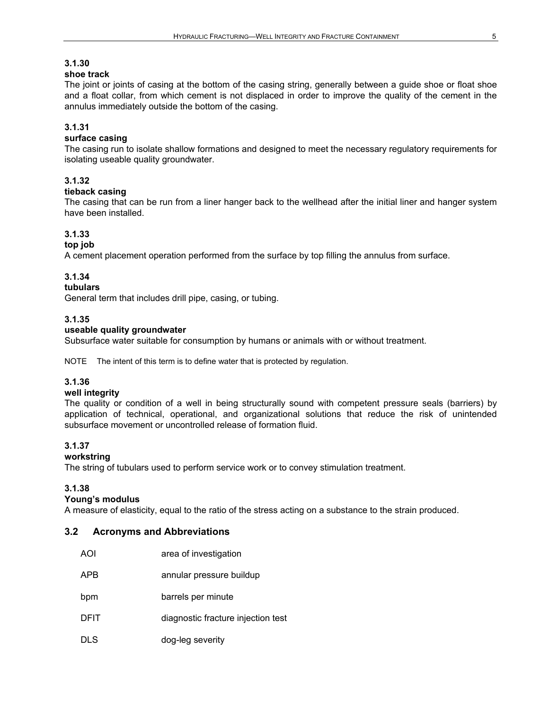#### **3.1.30 shoe track**

The joint or joints of casing at the bottom of the casing string, generally between a guide shoe or float shoe and a float collar, from which cement is not displaced in order to improve the quality of the cement in the annulus immediately outside the bottom of the casing.

# **3.1.31**

## **surface casing**

The casing run to isolate shallow formations and designed to meet the necessary regulatory requirements for isolating useable quality groundwater.

## **3.1.32**

#### **tieback casing**

The casing that can be run from a liner hanger back to the wellhead after the initial liner and hanger system have been installed.

## **3.1.33**

#### **top job**

A cement placement operation performed from the surface by top filling the annulus from surface.

#### **3.1.34**

#### **tubulars**

General term that includes drill pipe, casing, or tubing.

## **3.1.35**

#### **useable quality groundwater**

Subsurface water suitable for consumption by humans or animals with or without treatment.

NOTE The intent of this term is to define water that is protected by regulation.

#### **3.1.36**

#### **well integrity**

The quality or condition of a well in being structurally sound with competent pressure seals (barriers) by application of technical, operational, and organizational solutions that reduce the risk of unintended subsurface movement or uncontrolled release of formation fluid.

#### **3.1.37**

#### **workstring**

The string of tubulars used to perform service work or to convey stimulation treatment.

#### **3.1.38**

#### **Young's modulus**

A measure of elasticity, equal to the ratio of the stress acting on a substance to the strain produced.

#### **3.2 Acronyms and Abbreviations**

| AOI         | area of investigation              |
|-------------|------------------------------------|
| <b>APB</b>  | annular pressure buildup           |
| bpm         | barrels per minute                 |
| <b>DFIT</b> | diagnostic fracture injection test |
| DLS         | dog-leg severity                   |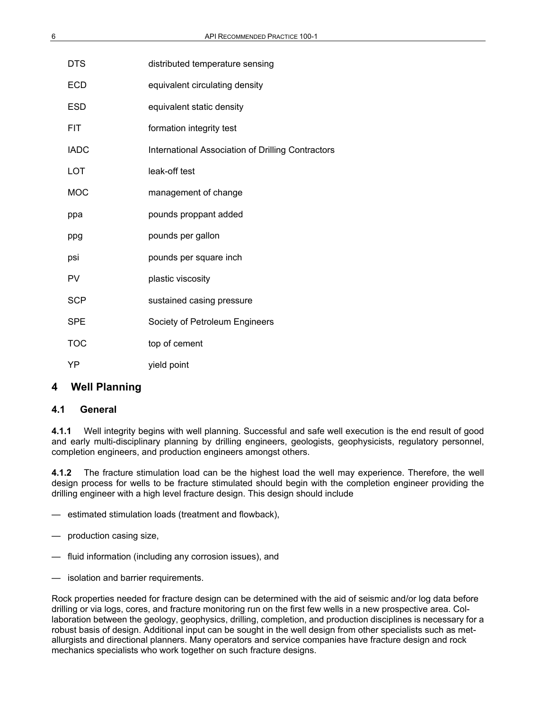| <b>DTS</b>  | distributed temperature sensing                   |
|-------------|---------------------------------------------------|
| <b>ECD</b>  | equivalent circulating density                    |
| <b>ESD</b>  | equivalent static density                         |
| FIT         | formation integrity test                          |
| <b>IADC</b> | International Association of Drilling Contractors |
| LOT         | leak-off test                                     |
| <b>MOC</b>  | management of change                              |
| ppa         | pounds proppant added                             |
| ppg         | pounds per gallon                                 |
| psi         | pounds per square inch                            |
| PV          | plastic viscosity                                 |
| <b>SCP</b>  | sustained casing pressure                         |
| <b>SPE</b>  | Society of Petroleum Engineers                    |
| <b>TOC</b>  | top of cement                                     |
| ΥP          | yield point                                       |
|             |                                                   |

# **4 Well Planning**

#### **4.1 General**

**4.1.1** Well integrity begins with well planning. Successful and safe well execution is the end result of good and early multi-disciplinary planning by drilling engineers, geologists, geophysicists, regulatory personnel, completion engineers, and production engineers amongst others.

**4.1.2** The fracture stimulation load can be the highest load the well may experience. Therefore, the well design process for wells to be fracture stimulated should begin with the completion engineer providing the drilling engineer with a high level fracture design. This design should include

— estimated stimulation loads (treatment and flowback),

- production casing size,
- fluid information (including any corrosion issues), and
- isolation and barrier requirements.

Rock properties needed for fracture design can be determined with the aid of seismic and/or log data before drilling or via logs, cores, and fracture monitoring run on the first few wells in a new prospective area. Collaboration between the geology, geophysics, drilling, completion, and production disciplines is necessary for a robust basis of design. Additional input can be sought in the well design from other specialists such as metallurgists and directional planners. Many operators and service companies have fracture design and rock mechanics specialists who work together on such fracture designs.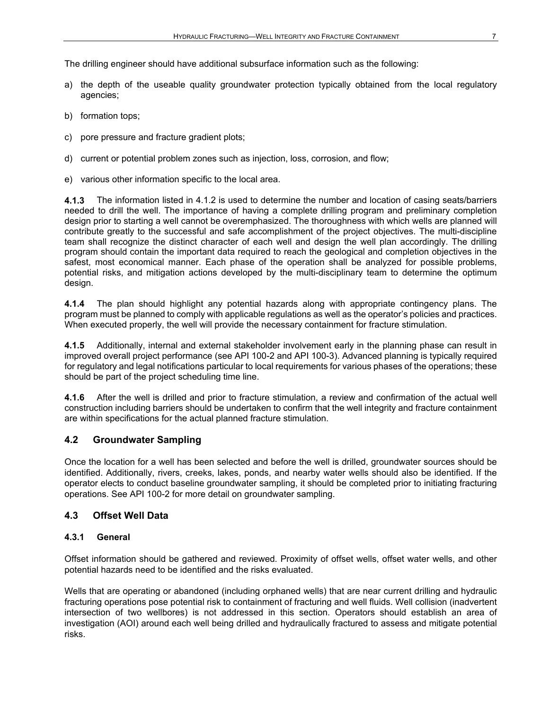The drilling engineer should have additional subsurface information such as the following:

- a) the depth of the useable quality groundwater protection typically obtained from the local regulatory agencies;
- b) formation tops;
- c) pore pressure and fracture gradient plots;
- d) current or potential problem zones such as injection, loss, corrosion, and flow;
- e) various other information specific to the local area.

**4.1.3** The information listed in 4.1.2 is used to determine the number and location of casing seats/barriers needed to drill the well. The importance of having a complete drilling program and preliminary completion design prior to starting a well cannot be overemphasized. The thoroughness with which wells are planned will contribute greatly to the successful and safe accomplishment of the project objectives. The multi-discipline team shall recognize the distinct character of each well and design the well plan accordingly. The drilling program should contain the important data required to reach the geological and completion objectives in the safest, most economical manner. Each phase of the operation shall be analyzed for possible problems, potential risks, and mitigation actions developed by the multi-disciplinary team to determine the optimum design.

**4.1.4** The plan should highlight any potential hazards along with appropriate contingency plans. The program must be planned to comply with applicable regulations as well as the operator's policies and practices. When executed properly, the well will provide the necessary containment for fracture stimulation.

**4.1.5** Additionally, internal and external stakeholder involvement early in the planning phase can result in improved overall project performance (see API 100-2 and API 100-3). Advanced planning is typically required for regulatory and legal notifications particular to local requirements for various phases of the operations; these should be part of the project scheduling time line.

**4.1.6** After the well is drilled and prior to fracture stimulation, a review and confirmation of the actual well construction including barriers should be undertaken to confirm that the well integrity and fracture containment are within specifications for the actual planned fracture stimulation.

#### **4.2 Groundwater Sampling**

Once the location for a well has been selected and before the well is drilled, groundwater sources should be identified. Additionally, rivers, creeks, lakes, ponds, and nearby water wells should also be identified. If the operator elects to conduct baseline groundwater sampling, it should be completed prior to initiating fracturing operations. See API 100-2 for more detail on groundwater sampling.

# **4.3 Offset Well Data**

#### **4.3.1 General**

Offset information should be gathered and reviewed. Proximity of offset wells, offset water wells, and other potential hazards need to be identified and the risks evaluated.

Wells that are operating or abandoned (including orphaned wells) that are near current drilling and hydraulic fracturing operations pose potential risk to containment of fracturing and well fluids. Well collision (inadvertent intersection of two wellbores) is not addressed in this section. Operators should establish an area of investigation (AOI) around each well being drilled and hydraulically fractured to assess and mitigate potential risks.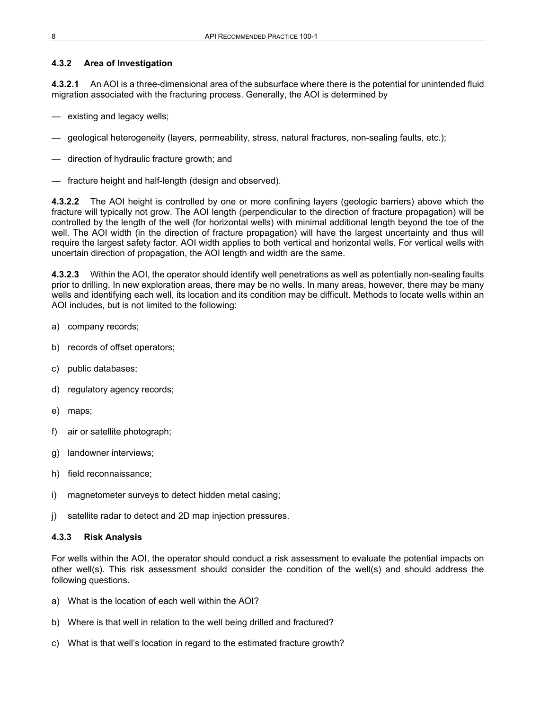#### **4.3.2 Area of Investigation**

**4.3.2.1** An AOI is a three-dimensional area of the subsurface where there is the potential for unintended fluid migration associated with the fracturing process. Generally, the AOI is determined by

- existing and legacy wells;
- geological heterogeneity (layers, permeability, stress, natural fractures, non-sealing faults, etc.);
- direction of hydraulic fracture growth; and
- fracture height and half-length (design and observed).

**4.3.2.2** The AOI height is controlled by one or more confining layers (geologic barriers) above which the fracture will typically not grow. The AOI length (perpendicular to the direction of fracture propagation) will be controlled by the length of the well (for horizontal wells) with minimal additional length beyond the toe of the well. The AOI width (in the direction of fracture propagation) will have the largest uncertainty and thus will require the largest safety factor. AOI width applies to both vertical and horizontal wells. For vertical wells with uncertain direction of propagation, the AOI length and width are the same.

**4.3.2.3** Within the AOI, the operator should identify well penetrations as well as potentially non-sealing faults prior to drilling. In new exploration areas, there may be no wells. In many areas, however, there may be many wells and identifying each well, its location and its condition may be difficult. Methods to locate wells within an AOI includes, but is not limited to the following:

- a) company records;
- b) records of offset operators;
- c) public databases;
- d) regulatory agency records;
- e) maps;
- f) air or satellite photograph;
- g) landowner interviews;
- h) field reconnaissance;
- i) magnetometer surveys to detect hidden metal casing;
- j) satellite radar to detect and 2D map injection pressures.

#### **4.3.3 Risk Analysis**

For wells within the AOI, the operator should conduct a risk assessment to evaluate the potential impacts on other well(s). This risk assessment should consider the condition of the well(s) and should address the following questions.

- a) What is the location of each well within the AOI?
- b) Where is that well in relation to the well being drilled and fractured?
- c) What is that well's location in regard to the estimated fracture growth?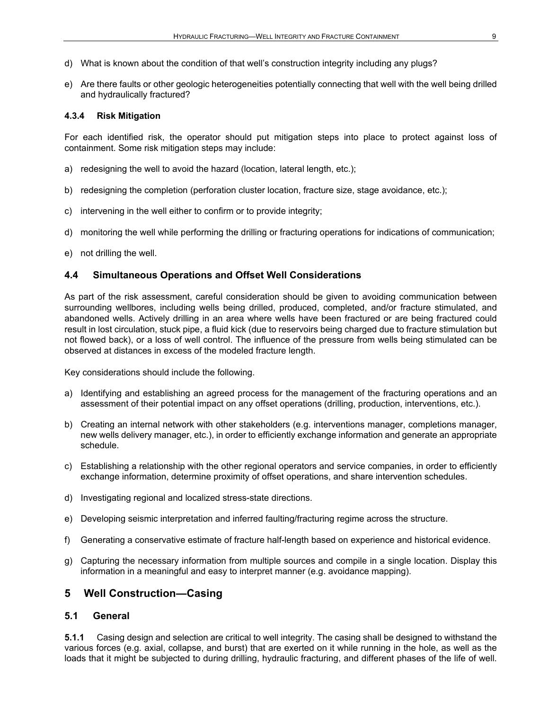- d) What is known about the condition of that well's construction integrity including any plugs?
- e) Are there faults or other geologic heterogeneities potentially connecting that well with the well being drilled and hydraulically fractured?

#### **4.3.4 Risk Mitigation**

For each identified risk, the operator should put mitigation steps into place to protect against loss of containment. Some risk mitigation steps may include:

- a) redesigning the well to avoid the hazard (location, lateral length, etc.);
- b) redesigning the completion (perforation cluster location, fracture size, stage avoidance, etc.);
- c) intervening in the well either to confirm or to provide integrity;
- d) monitoring the well while performing the drilling or fracturing operations for indications of communication;
- e) not drilling the well.

#### **4.4 Simultaneous Operations and Offset Well Considerations**

As part of the risk assessment, careful consideration should be given to avoiding communication between surrounding wellbores, including wells being drilled, produced, completed, and/or fracture stimulated, and abandoned wells. Actively drilling in an area where wells have been fractured or are being fractured could result in lost circulation, stuck pipe, a fluid kick (due to reservoirs being charged due to fracture stimulation but not flowed back), or a loss of well control. The influence of the pressure from wells being stimulated can be observed at distances in excess of the modeled fracture length.

Key considerations should include the following.

- a) Identifying and establishing an agreed process for the management of the fracturing operations and an assessment of their potential impact on any offset operations (drilling, production, interventions, etc.).
- b) Creating an internal network with other stakeholders (e.g. interventions manager, completions manager, new wells delivery manager, etc.), in order to efficiently exchange information and generate an appropriate schedule.
- c) Establishing a relationship with the other regional operators and service companies, in order to efficiently exchange information, determine proximity of offset operations, and share intervention schedules.
- d) Investigating regional and localized stress-state directions.
- e) Developing seismic interpretation and inferred faulting/fracturing regime across the structure.
- f) Generating a conservative estimate of fracture half-length based on experience and historical evidence.
- g) Capturing the necessary information from multiple sources and compile in a single location. Display this information in a meaningful and easy to interpret manner (e.g. avoidance mapping).

# **5 Well Construction—Casing**

## **5.1 General**

**5.1.1** Casing design and selection are critical to well integrity. The casing shall be designed to withstand the various forces (e.g. axial, collapse, and burst) that are exerted on it while running in the hole, as well as the loads that it might be subjected to during drilling, hydraulic fracturing, and different phases of the life of well.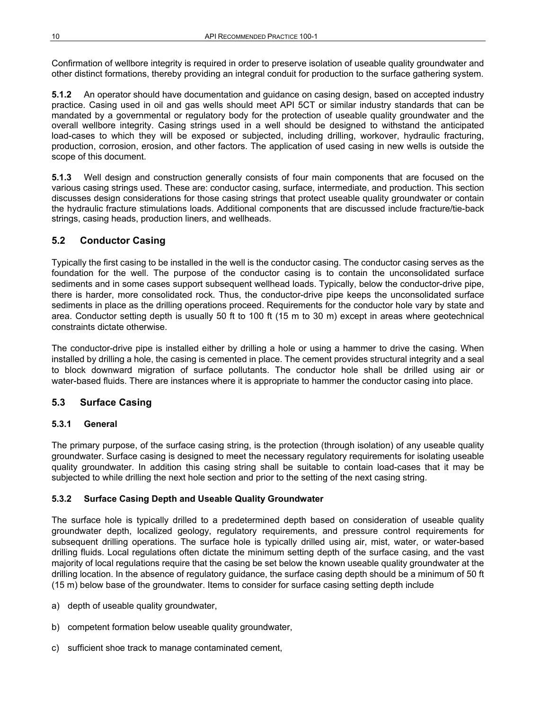Confirmation of wellbore integrity is required in order to preserve isolation of useable quality groundwater and other distinct formations, thereby providing an integral conduit for production to the surface gathering system.

**5.1.2** An operator should have documentation and guidance on casing design, based on accepted industry practice. Casing used in oil and gas wells should meet API 5CT or similar industry standards that can be mandated by a governmental or regulatory body for the protection of useable quality groundwater and the overall wellbore integrity. Casing strings used in a well should be designed to withstand the anticipated load-cases to which they will be exposed or subjected, including drilling, workover, hydraulic fracturing, production, corrosion, erosion, and other factors. The application of used casing in new wells is outside the scope of this document.

**5.1.3** Well design and construction generally consists of four main components that are focused on the various casing strings used. These are: conductor casing, surface, intermediate, and production. This section discusses design considerations for those casing strings that protect useable quality groundwater or contain the hydraulic fracture stimulations loads. Additional components that are discussed include fracture/tie-back strings, casing heads, production liners, and wellheads.

# **5.2 Conductor Casing**

Typically the first casing to be installed in the well is the conductor casing. The conductor casing serves as the foundation for the well. The purpose of the conductor casing is to contain the unconsolidated surface sediments and in some cases support subsequent wellhead loads. Typically, below the conductor-drive pipe, there is harder, more consolidated rock. Thus, the conductor-drive pipe keeps the unconsolidated surface sediments in place as the drilling operations proceed. Requirements for the conductor hole vary by state and area. Conductor setting depth is usually 50 ft to 100 ft (15 m to 30 m) except in areas where geotechnical constraints dictate otherwise.

The conductor-drive pipe is installed either by drilling a hole or using a hammer to drive the casing. When installed by drilling a hole, the casing is cemented in place. The cement provides structural integrity and a seal to block downward migration of surface pollutants. The conductor hole shall be drilled using air or water-based fluids. There are instances where it is appropriate to hammer the conductor casing into place.

# **5.3 Surface Casing**

# **5.3.1 General**

The primary purpose, of the surface casing string, is the protection (through isolation) of any useable quality groundwater. Surface casing is designed to meet the necessary regulatory requirements for isolating useable quality groundwater. In addition this casing string shall be suitable to contain load-cases that it may be subjected to while drilling the next hole section and prior to the setting of the next casing string.

# **5.3.2 Surface Casing Depth and Useable Quality Groundwater**

The surface hole is typically drilled to a predetermined depth based on consideration of useable quality groundwater depth, localized geology, regulatory requirements, and pressure control requirements for subsequent drilling operations. The surface hole is typically drilled using air, mist, water, or water-based drilling fluids. Local regulations often dictate the minimum setting depth of the surface casing, and the vast majority of local regulations require that the casing be set below the known useable quality groundwater at the drilling location. In the absence of regulatory guidance, the surface casing depth should be a minimum of 50 ft (15 m) below base of the groundwater. Items to consider for surface casing setting depth include

- a) depth of useable quality groundwater,
- b) competent formation below useable quality groundwater,
- c) sufficient shoe track to manage contaminated cement,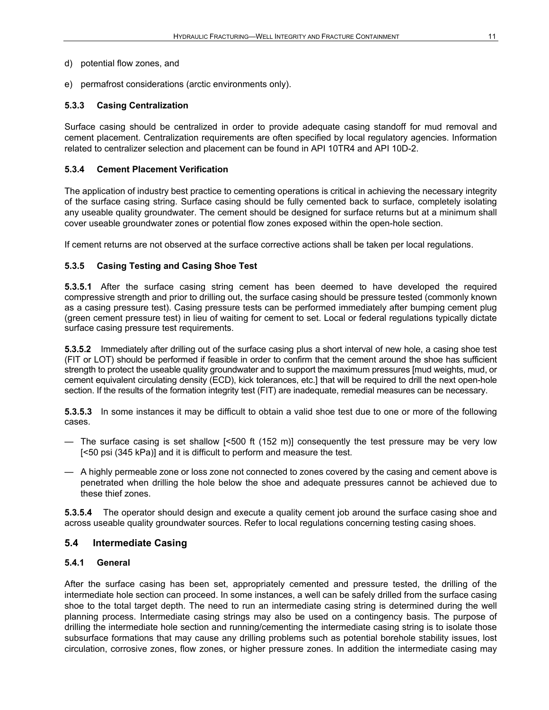- d) potential flow zones, and
- e) permafrost considerations (arctic environments only).

#### **5.3.3 Casing Centralization**

Surface casing should be centralized in order to provide adequate casing standoff for mud removal and cement placement. Centralization requirements are often specified by local regulatory agencies. Information related to centralizer selection and placement can be found in API 10TR4 and API 10D-2.

#### **5.3.4 Cement Placement Verification**

The application of industry best practice to cementing operations is critical in achieving the necessary integrity of the surface casing string. Surface casing should be fully cemented back to surface, completely isolating any useable quality groundwater. The cement should be designed for surface returns but at a minimum shall cover useable groundwater zones or potential flow zones exposed within the open-hole section.

If cement returns are not observed at the surface corrective actions shall be taken per local regulations.

#### **5.3.5 Casing Testing and Casing Shoe Test**

**5.3.5.1** After the surface casing string cement has been deemed to have developed the required compressive strength and prior to drilling out, the surface casing should be pressure tested (commonly known as a casing pressure test). Casing pressure tests can be performed immediately after bumping cement plug (green cement pressure test) in lieu of waiting for cement to set. Local or federal regulations typically dictate surface casing pressure test requirements.

**5.3.5.2** Immediately after drilling out of the surface casing plus a short interval of new hole, a casing shoe test (FIT or LOT) should be performed if feasible in order to confirm that the cement around the shoe has sufficient strength to protect the useable quality groundwater and to support the maximum pressures [mud weights, mud, or cement equivalent circulating density (ECD), kick tolerances, etc.] that will be required to drill the next open-hole section. If the results of the formation integrity test (FIT) are inadequate, remedial measures can be necessary.

**5.3.5.3** In some instances it may be difficult to obtain a valid shoe test due to one or more of the following cases.

- The surface casing is set shallow  $\left[500 \text{ ft } (152 \text{ m})\right]$  consequently the test pressure may be very low [<50 psi (345 kPa)] and it is difficult to perform and measure the test.
- A highly permeable zone or loss zone not connected to zones covered by the casing and cement above is penetrated when drilling the hole below the shoe and adequate pressures cannot be achieved due to these thief zones.

**5.3.5.4** The operator should design and execute a quality cement job around the surface casing shoe and across useable quality groundwater sources. Refer to local regulations concerning testing casing shoes.

#### **5.4 Intermediate Casing**

#### **5.4.1 General**

After the surface casing has been set, appropriately cemented and pressure tested, the drilling of the intermediate hole section can proceed. In some instances, a well can be safely drilled from the surface casing shoe to the total target depth. The need to run an intermediate casing string is determined during the well planning process. Intermediate casing strings may also be used on a contingency basis. The purpose of drilling the intermediate hole section and running/cementing the intermediate casing string is to isolate those subsurface formations that may cause any drilling problems such as potential borehole stability issues, lost circulation, corrosive zones, flow zones, or higher pressure zones. In addition the intermediate casing may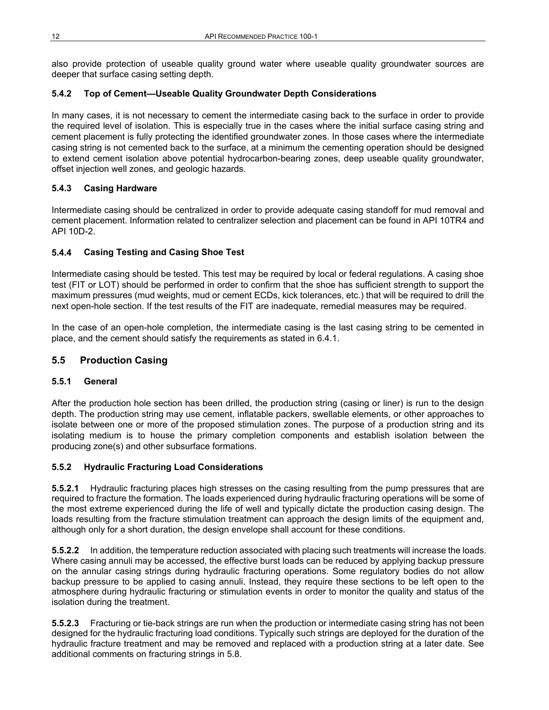also provide protection of useable quality ground water where useable quality groundwater sources are deeper that surface casing setting depth.

## **5.4.2 Top of Cement—Useable Quality Groundwater Depth Considerations**

In many cases, it is not necessary to cement the intermediate casing back to the surface in order to provide the required level of isolation. This is especially true in the cases where the initial surface casing string and cement placement is fully protecting the identified groundwater zones. In those cases where the intermediate casing string is not cemented back to the surface, at a minimum the cementing operation should be designed to extend cement isolation above potential hydrocarbon-bearing zones, deep useable quality groundwater, offset injection well zones, and geologic hazards.

## **5.4.3 Casing Hardware**

Intermediate casing should be centralized in order to provide adequate casing standoff for mud removal and cement placement. Information related to centralizer selection and placement can be found in API 10TR4 and API 10D-2.

## **5.4.4 Casing Testing and Casing Shoe Test**

Intermediate casing should be tested. This test may be required by local or federal regulations. A casing shoe test (FIT or LOT) should be performed in order to confirm that the shoe has sufficient strength to support the maximum pressures (mud weights, mud or cement ECDs, kick tolerances, etc.) that will be required to drill the next open-hole section. If the test results of the FIT are inadequate, remedial measures may be required.

In the case of an open-hole completion, the intermediate casing is the last casing string to be cemented in place, and the cement should satisfy the requirements as stated in 6.4.1.

# **5.5 Production Casing**

#### **5.5.1 General**

After the production hole section has been drilled, the production string (casing or liner) is run to the design depth. The production string may use cement, inflatable packers, swellable elements, or other approaches to isolate between one or more of the proposed stimulation zones. The purpose of a production string and its isolating medium is to house the primary completion components and establish isolation between the producing zone(s) and other subsurface formations.

#### **5.5.2 Hydraulic Fracturing Load Considerations**

**5.5.2.1** Hydraulic fracturing places high stresses on the casing resulting from the pump pressures that are required to fracture the formation. The loads experienced during hydraulic fracturing operations will be some of the most extreme experienced during the life of well and typically dictate the production casing design. The loads resulting from the fracture stimulation treatment can approach the design limits of the equipment and, although only for a short duration, the design envelope shall account for these conditions.

**5.5.2.2** In addition, the temperature reduction associated with placing such treatments will increase the loads. Where casing annuli may be accessed, the effective burst loads can be reduced by applying backup pressure on the annular casing strings during hydraulic fracturing operations. Some regulatory bodies do not allow backup pressure to be applied to casing annuli. Instead, they require these sections to be left open to the atmosphere during hydraulic fracturing or stimulation events in order to monitor the quality and status of the isolation during the treatment.

**5.5.2.3** Fracturing or tie-back strings are run when the production or intermediate casing string has not been designed for the hydraulic fracturing load conditions. Typically such strings are deployed for the duration of the hydraulic fracture treatment and may be removed and replaced with a production string at a later date. See additional comments on fracturing strings in 5.8.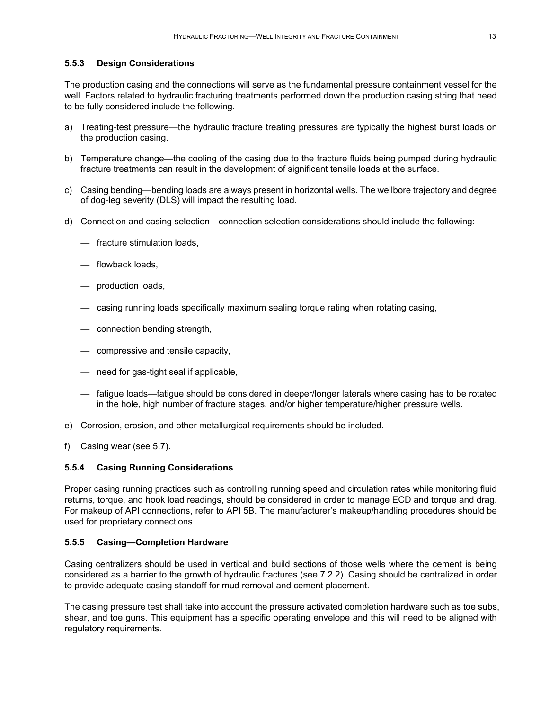#### **5.5.3 Design Considerations**

The production casing and the connections will serve as the fundamental pressure containment vessel for the well. Factors related to hydraulic fracturing treatments performed down the production casing string that need to be fully considered include the following.

- a) Treating-test pressure—the hydraulic fracture treating pressures are typically the highest burst loads on the production casing.
- b) Temperature change—the cooling of the casing due to the fracture fluids being pumped during hydraulic fracture treatments can result in the development of significant tensile loads at the surface.
- c) Casing bending—bending loads are always present in horizontal wells. The wellbore trajectory and degree of dog-leg severity (DLS) will impact the resulting load.
- d) Connection and casing selection—connection selection considerations should include the following:
	- fracture stimulation loads,
	- flowback loads,
	- production loads,
	- casing running loads specifically maximum sealing torque rating when rotating casing,
	- connection bending strength,
	- compressive and tensile capacity,
	- need for gas-tight seal if applicable,
	- fatigue loads—fatigue should be considered in deeper/longer laterals where casing has to be rotated in the hole, high number of fracture stages, and/or higher temperature/higher pressure wells.
- e) Corrosion, erosion, and other metallurgical requirements should be included.
- f) Casing wear (see 5.7).

#### **5.5.4 Casing Running Considerations**

Proper casing running practices such as controlling running speed and circulation rates while monitoring fluid returns, torque, and hook load readings, should be considered in order to manage ECD and torque and drag. For makeup of API connections, refer to API 5B. The manufacturer's makeup/handling procedures should be used for proprietary connections.

#### **5.5.5 Casing—Completion Hardware**

Casing centralizers should be used in vertical and build sections of those wells where the cement is being considered as a barrier to the growth of hydraulic fractures (see 7.2.2). Casing should be centralized in order to provide adequate casing standoff for mud removal and cement placement.

The casing pressure test shall take into account the pressure activated completion hardware such as toe subs, shear, and toe guns. This equipment has a specific operating envelope and this will need to be aligned with regulatory requirements.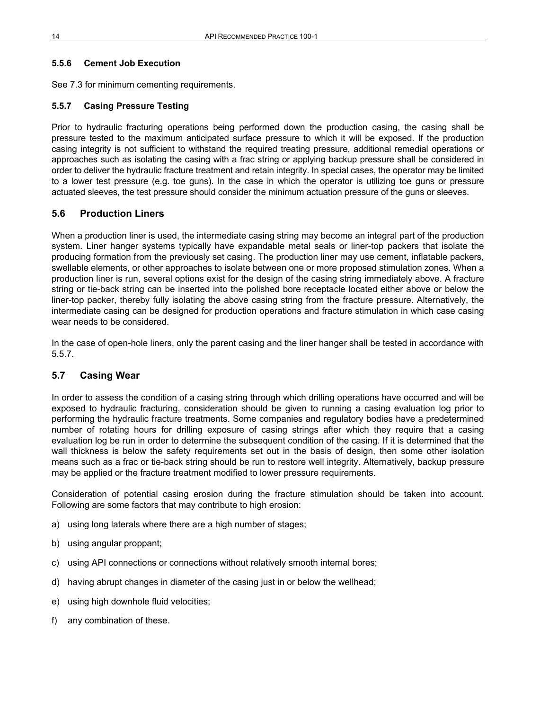#### **5.5.6 Cement Job Execution**

See 7.3 for minimum cementing requirements.

#### **5.5.7 Casing Pressure Testing**

Prior to hydraulic fracturing operations being performed down the production casing, the casing shall be pressure tested to the maximum anticipated surface pressure to which it will be exposed. If the production casing integrity is not sufficient to withstand the required treating pressure, additional remedial operations or approaches such as isolating the casing with a frac string or applying backup pressure shall be considered in order to deliver the hydraulic fracture treatment and retain integrity. In special cases, the operator may be limited to a lower test pressure (e.g. toe guns). In the case in which the operator is utilizing toe guns or pressure actuated sleeves, the test pressure should consider the minimum actuation pressure of the guns or sleeves.

## **5.6 Production Liners**

When a production liner is used, the intermediate casing string may become an integral part of the production system. Liner hanger systems typically have expandable metal seals or liner-top packers that isolate the producing formation from the previously set casing. The production liner may use cement, inflatable packers, swellable elements, or other approaches to isolate between one or more proposed stimulation zones. When a production liner is run, several options exist for the design of the casing string immediately above. A fracture string or tie-back string can be inserted into the polished bore receptacle located either above or below the liner-top packer, thereby fully isolating the above casing string from the fracture pressure. Alternatively, the intermediate casing can be designed for production operations and fracture stimulation in which case casing wear needs to be considered.

In the case of open-hole liners, only the parent casing and the liner hanger shall be tested in accordance with 5.5.7.

#### **5.7 Casing Wear**

In order to assess the condition of a casing string through which drilling operations have occurred and will be exposed to hydraulic fracturing, consideration should be given to running a casing evaluation log prior to performing the hydraulic fracture treatments. Some companies and regulatory bodies have a predetermined number of rotating hours for drilling exposure of casing strings after which they require that a casing evaluation log be run in order to determine the subsequent condition of the casing. If it is determined that the wall thickness is below the safety requirements set out in the basis of design, then some other isolation means such as a frac or tie-back string should be run to restore well integrity. Alternatively, backup pressure may be applied or the fracture treatment modified to lower pressure requirements.

Consideration of potential casing erosion during the fracture stimulation should be taken into account. Following are some factors that may contribute to high erosion:

- a) using long laterals where there are a high number of stages;
- b) using angular proppant;
- c) using API connections or connections without relatively smooth internal bores;
- d) having abrupt changes in diameter of the casing just in or below the wellhead;
- e) using high downhole fluid velocities;
- f) any combination of these.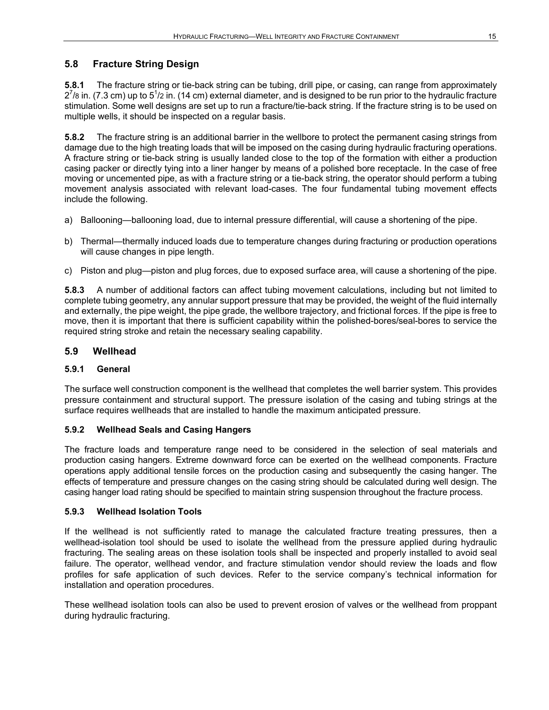# **5.8 Fracture String Design**

**5.8.1** The fracture string or tie-back string can be tubing, drill pipe, or casing, can range from approximately  $2^7$ /8 in. (7.3 cm) up to  $5^1$ /2 in. (14 cm) external diameter, and is designed to be run prior to the hydraulic fracture stimulation. Some well designs are set up to run a fracture/tie-back string. If the fracture string is to be used on multiple wells, it should be inspected on a regular basis.

**5.8.2** The fracture string is an additional barrier in the wellbore to protect the permanent casing strings from damage due to the high treating loads that will be imposed on the casing during hydraulic fracturing operations. A fracture string or tie-back string is usually landed close to the top of the formation with either a production casing packer or directly tying into a liner hanger by means of a polished bore receptacle. In the case of free moving or uncemented pipe, as with a fracture string or a tie-back string, the operator should perform a tubing movement analysis associated with relevant load-cases. The four fundamental tubing movement effects include the following.

- a) Ballooning—ballooning load, due to internal pressure differential, will cause a shortening of the pipe.
- b) Thermal—thermally induced loads due to temperature changes during fracturing or production operations will cause changes in pipe length.
- c) Piston and plug—piston and plug forces, due to exposed surface area, will cause a shortening of the pipe.

**5.8.3** A number of additional factors can affect tubing movement calculations, including but not limited to complete tubing geometry, any annular support pressure that may be provided, the weight of the fluid internally and externally, the pipe weight, the pipe grade, the wellbore trajectory, and frictional forces. If the pipe is free to move, then it is important that there is sufficient capability within the polished-bores/seal-bores to service the required string stroke and retain the necessary sealing capability.

# **5.9 Wellhead**

#### **5.9.1 General**

The surface well construction component is the wellhead that completes the well barrier system. This provides pressure containment and structural support. The pressure isolation of the casing and tubing strings at the surface requires wellheads that are installed to handle the maximum anticipated pressure.

#### **5.9.2 Wellhead Seals and Casing Hangers**

The fracture loads and temperature range need to be considered in the selection of seal materials and production casing hangers. Extreme downward force can be exerted on the wellhead components. Fracture operations apply additional tensile forces on the production casing and subsequently the casing hanger. The effects of temperature and pressure changes on the casing string should be calculated during well design. The casing hanger load rating should be specified to maintain string suspension throughout the fracture process.

#### **5.9.3 Wellhead Isolation Tools**

If the wellhead is not sufficiently rated to manage the calculated fracture treating pressures, then a wellhead-isolation tool should be used to isolate the wellhead from the pressure applied during hydraulic fracturing. The sealing areas on these isolation tools shall be inspected and properly installed to avoid seal failure. The operator, wellhead vendor, and fracture stimulation vendor should review the loads and flow profiles for safe application of such devices. Refer to the service company's technical information for installation and operation procedures.

These wellhead isolation tools can also be used to prevent erosion of valves or the wellhead from proppant during hydraulic fracturing.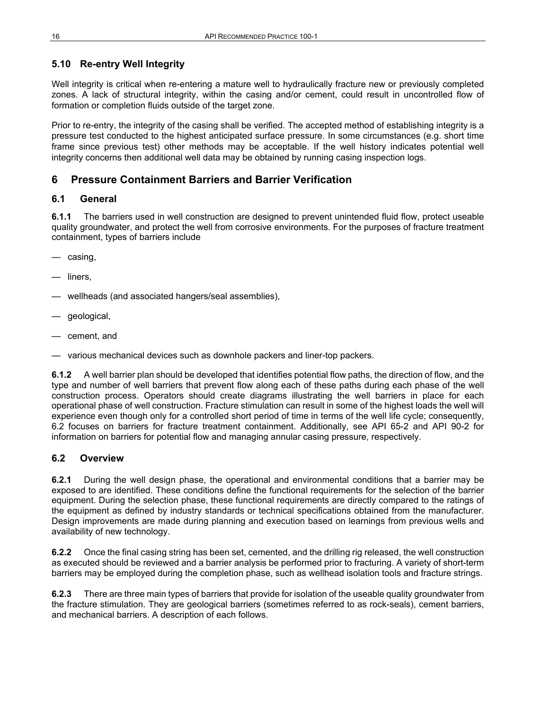# **5.10 Re-entry Well Integrity**

Well integrity is critical when re-entering a mature well to hydraulically fracture new or previously completed zones. A lack of structural integrity, within the casing and/or cement, could result in uncontrolled flow of formation or completion fluids outside of the target zone.

Prior to re-entry, the integrity of the casing shall be verified. The accepted method of establishing integrity is a pressure test conducted to the highest anticipated surface pressure. In some circumstances (e.g. short time frame since previous test) other methods may be acceptable. If the well history indicates potential well integrity concerns then additional well data may be obtained by running casing inspection logs.

# **6 Pressure Containment Barriers and Barrier Verification**

# **6.1 General**

**6.1.1** The barriers used in well construction are designed to prevent unintended fluid flow, protect useable quality groundwater, and protect the well from corrosive environments. For the purposes of fracture treatment containment, types of barriers include

- casing,
- liners,
- wellheads (and associated hangers/seal assemblies),
- geological,
- cement, and
- various mechanical devices such as downhole packers and liner-top packers.

**6.1.2** A well barrier plan should be developed that identifies potential flow paths, the direction of flow, and the type and number of well barriers that prevent flow along each of these paths during each phase of the well construction process. Operators should create diagrams illustrating the well barriers in place for each operational phase of well construction. Fracture stimulation can result in some of the highest loads the well will experience even though only for a controlled short period of time in terms of the well life cycle; consequently, 6.2 focuses on barriers for fracture treatment containment. Additionally, see API 65-2 and API 90-2 for information on barriers for potential flow and managing annular casing pressure, respectively.

# **6.2 Overview**

**6.2.1** During the well design phase, the operational and environmental conditions that a barrier may be exposed to are identified. These conditions define the functional requirements for the selection of the barrier equipment. During the selection phase, these functional requirements are directly compared to the ratings of the equipment as defined by industry standards or technical specifications obtained from the manufacturer. Design improvements are made during planning and execution based on learnings from previous wells and availability of new technology.

**6.2.2** Once the final casing string has been set, cemented, and the drilling rig released, the well construction as executed should be reviewed and a barrier analysis be performed prior to fracturing. A variety of short-term barriers may be employed during the completion phase, such as wellhead isolation tools and fracture strings.

**6.2.3** There are three main types of barriers that provide for isolation of the useable quality groundwater from the fracture stimulation. They are geological barriers (sometimes referred to as rock-seals), cement barriers, and mechanical barriers. A description of each follows.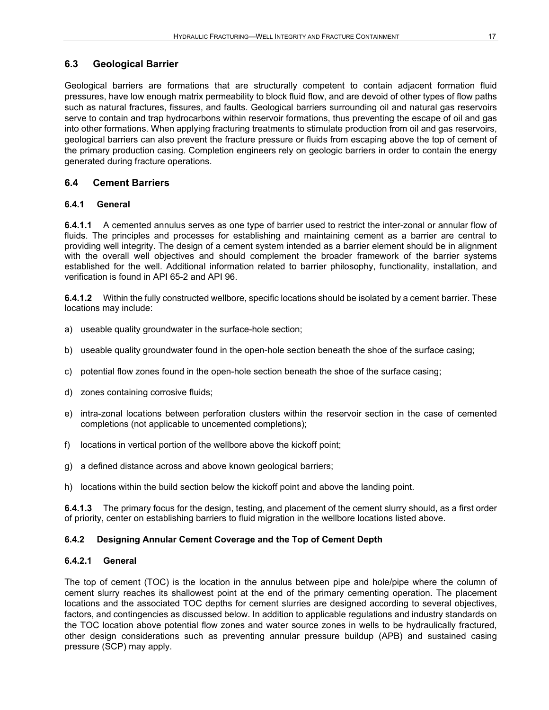# **6.3 Geological Barrier**

Geological barriers are formations that are structurally competent to contain adjacent formation fluid pressures, have low enough matrix permeability to block fluid flow, and are devoid of other types of flow paths such as natural fractures, fissures, and faults. Geological barriers surrounding oil and natural gas reservoirs serve to contain and trap hydrocarbons within reservoir formations, thus preventing the escape of oil and gas into other formations. When applying fracturing treatments to stimulate production from oil and gas reservoirs, geological barriers can also prevent the fracture pressure or fluids from escaping above the top of cement of the primary production casing. Completion engineers rely on geologic barriers in order to contain the energy generated during fracture operations.

# **6.4 Cement Barriers**

#### **6.4.1 General**

**6.4.1.1** A cemented annulus serves as one type of barrier used to restrict the inter-zonal or annular flow of fluids. The principles and processes for establishing and maintaining cement as a barrier are central to providing well integrity. The design of a cement system intended as a barrier element should be in alignment with the overall well objectives and should complement the broader framework of the barrier systems established for the well. Additional information related to barrier philosophy, functionality, installation, and verification is found in API 65-2 and API 96.

**6.4.1.2** Within the fully constructed wellbore, specific locations should be isolated by a cement barrier. These locations may include:

- a) useable quality groundwater in the surface-hole section;
- b) useable quality groundwater found in the open-hole section beneath the shoe of the surface casing;
- c) potential flow zones found in the open-hole section beneath the shoe of the surface casing;
- d) zones containing corrosive fluids;
- e) intra-zonal locations between perforation clusters within the reservoir section in the case of cemented completions (not applicable to uncemented completions);
- f) locations in vertical portion of the wellbore above the kickoff point;
- g) a defined distance across and above known geological barriers;
- h) locations within the build section below the kickoff point and above the landing point.

**6.4.1.3** The primary focus for the design, testing, and placement of the cement slurry should, as a first order of priority, center on establishing barriers to fluid migration in the wellbore locations listed above.

#### **6.4.2 Designing Annular Cement Coverage and the Top of Cement Depth**

#### **6.4.2.1 General**

The top of cement (TOC) is the location in the annulus between pipe and hole/pipe where the column of cement slurry reaches its shallowest point at the end of the primary cementing operation. The placement locations and the associated TOC depths for cement slurries are designed according to several objectives, factors, and contingencies as discussed below. In addition to applicable regulations and industry standards on the TOC location above potential flow zones and water source zones in wells to be hydraulically fractured, other design considerations such as preventing annular pressure buildup (APB) and sustained casing pressure (SCP) may apply.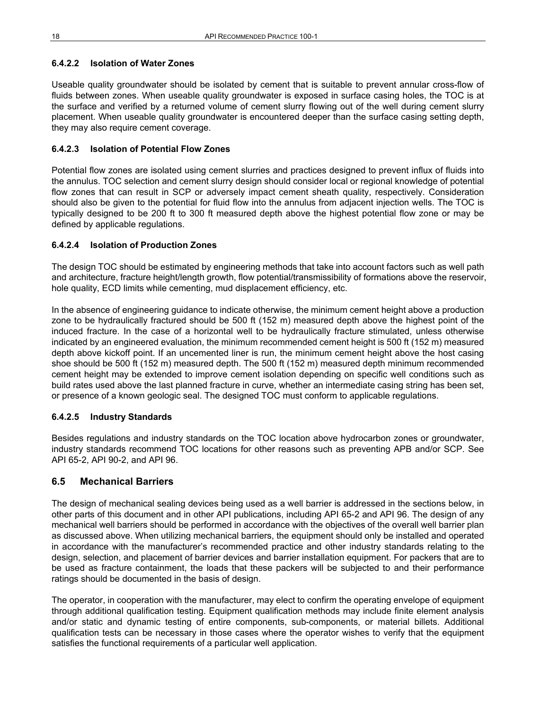#### **6.4.2.2 Isolation of Water Zones**

Useable quality groundwater should be isolated by cement that is suitable to prevent annular cross-flow of fluids between zones. When useable quality groundwater is exposed in surface casing holes, the TOC is at the surface and verified by a returned volume of cement slurry flowing out of the well during cement slurry placement. When useable quality groundwater is encountered deeper than the surface casing setting depth, they may also require cement coverage.

#### **6.4.2.3 Isolation of Potential Flow Zones**

Potential flow zones are isolated using cement slurries and practices designed to prevent influx of fluids into the annulus. TOC selection and cement slurry design should consider local or regional knowledge of potential flow zones that can result in SCP or adversely impact cement sheath quality, respectively. Consideration should also be given to the potential for fluid flow into the annulus from adjacent injection wells. The TOC is typically designed to be 200 ft to 300 ft measured depth above the highest potential flow zone or may be defined by applicable regulations.

## **6.4.2.4 Isolation of Production Zones**

The design TOC should be estimated by engineering methods that take into account factors such as well path and architecture, fracture height/length growth, flow potential/transmissibility of formations above the reservoir, hole quality, ECD limits while cementing, mud displacement efficiency, etc.

In the absence of engineering guidance to indicate otherwise, the minimum cement height above a production zone to be hydraulically fractured should be 500 ft (152 m) measured depth above the highest point of the induced fracture. In the case of a horizontal well to be hydraulically fracture stimulated, unless otherwise indicated by an engineered evaluation, the minimum recommended cement height is 500 ft (152 m) measured depth above kickoff point. If an uncemented liner is run, the minimum cement height above the host casing shoe should be 500 ft (152 m) measured depth. The 500 ft (152 m) measured depth minimum recommended cement height may be extended to improve cement isolation depending on specific well conditions such as build rates used above the last planned fracture in curve, whether an intermediate casing string has been set, or presence of a known geologic seal. The designed TOC must conform to applicable regulations.

#### **6.4.2.5 Industry Standards**

Besides regulations and industry standards on the TOC location above hydrocarbon zones or groundwater, industry standards recommend TOC locations for other reasons such as preventing APB and/or SCP. See API 65-2, API 90-2, and API 96.

# **6.5 Mechanical Barriers**

The design of mechanical sealing devices being used as a well barrier is addressed in the sections below, in other parts of this document and in other API publications, including API 65-2 and API 96. The design of any mechanical well barriers should be performed in accordance with the objectives of the overall well barrier plan as discussed above. When utilizing mechanical barriers, the equipment should only be installed and operated in accordance with the manufacturer's recommended practice and other industry standards relating to the design, selection, and placement of barrier devices and barrier installation equipment. For packers that are to be used as fracture containment, the loads that these packers will be subjected to and their performance ratings should be documented in the basis of design.

The operator, in cooperation with the manufacturer, may elect to confirm the operating envelope of equipment through additional qualification testing. Equipment qualification methods may include finite element analysis and/or static and dynamic testing of entire components, sub-components, or material billets. Additional qualification tests can be necessary in those cases where the operator wishes to verify that the equipment satisfies the functional requirements of a particular well application.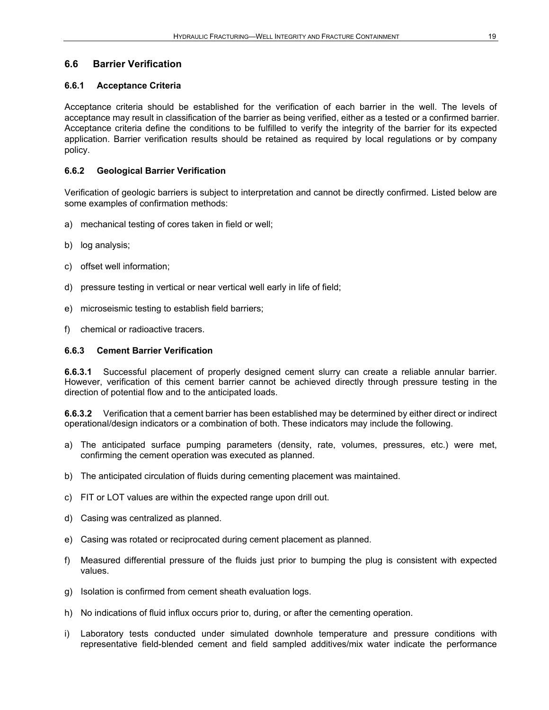# **6.6 Barrier Verification**

#### **6.6.1 Acceptance Criteria**

Acceptance criteria should be established for the verification of each barrier in the well. The levels of acceptance may result in classification of the barrier as being verified, either as a tested or a confirmed barrier. Acceptance criteria define the conditions to be fulfilled to verify the integrity of the barrier for its expected application. Barrier verification results should be retained as required by local regulations or by company policy.

#### **6.6.2 Geological Barrier Verification**

Verification of geologic barriers is subject to interpretation and cannot be directly confirmed. Listed below are some examples of confirmation methods:

- a) mechanical testing of cores taken in field or well;
- b) log analysis;
- c) offset well information;
- d) pressure testing in vertical or near vertical well early in life of field;
- e) microseismic testing to establish field barriers;
- f) chemical or radioactive tracers.

#### **6.6.3 Cement Barrier Verification**

**6.6.3.1** Successful placement of properly designed cement slurry can create a reliable annular barrier. However, verification of this cement barrier cannot be achieved directly through pressure testing in the direction of potential flow and to the anticipated loads.

**6.6.3.2** Verification that a cement barrier has been established may be determined by either direct or indirect operational/design indicators or a combination of both. These indicators may include the following.

- a) The anticipated surface pumping parameters (density, rate, volumes, pressures, etc.) were met, confirming the cement operation was executed as planned.
- b) The anticipated circulation of fluids during cementing placement was maintained.
- c) FIT or LOT values are within the expected range upon drill out.
- d) Casing was centralized as planned.
- e) Casing was rotated or reciprocated during cement placement as planned.
- f) Measured differential pressure of the fluids just prior to bumping the plug is consistent with expected values.
- g) Isolation is confirmed from cement sheath evaluation logs.
- h) No indications of fluid influx occurs prior to, during, or after the cementing operation.
- i) Laboratory tests conducted under simulated downhole temperature and pressure conditions with representative field-blended cement and field sampled additives/mix water indicate the performance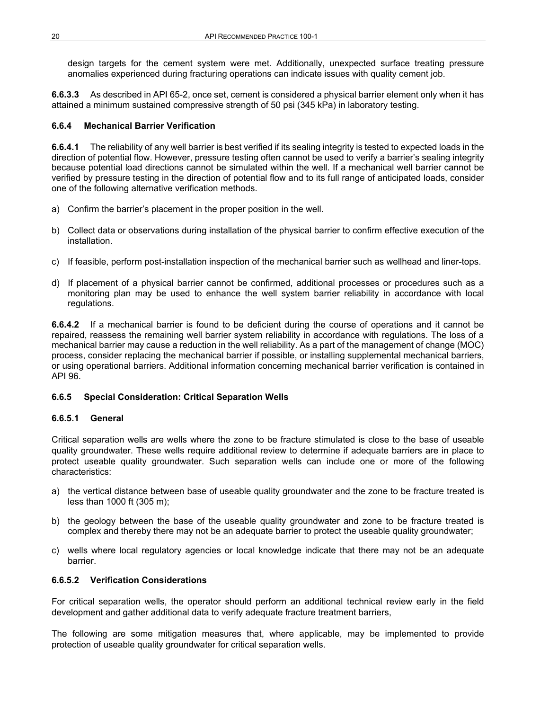design targets for the cement system were met. Additionally, unexpected surface treating pressure anomalies experienced during fracturing operations can indicate issues with quality cement job.

**6.6.3.3** As described in API 65-2, once set, cement is considered a physical barrier element only when it has attained a minimum sustained compressive strength of 50 psi (345 kPa) in laboratory testing.

#### **6.6.4 Mechanical Barrier Verification**

**6.6.4.1** The reliability of any well barrier is best verified if its sealing integrity is tested to expected loads in the direction of potential flow. However, pressure testing often cannot be used to verify a barrier's sealing integrity because potential load directions cannot be simulated within the well. If a mechanical well barrier cannot be verified by pressure testing in the direction of potential flow and to its full range of anticipated loads, consider one of the following alternative verification methods.

- a) Confirm the barrier's placement in the proper position in the well.
- b) Collect data or observations during installation of the physical barrier to confirm effective execution of the installation.
- c) If feasible, perform post-installation inspection of the mechanical barrier such as wellhead and liner-tops.
- d) If placement of a physical barrier cannot be confirmed, additional processes or procedures such as a monitoring plan may be used to enhance the well system barrier reliability in accordance with local regulations.

**6.6.4.2** If a mechanical barrier is found to be deficient during the course of operations and it cannot be repaired, reassess the remaining well barrier system reliability in accordance with regulations. The loss of a mechanical barrier may cause a reduction in the well reliability. As a part of the management of change (MOC) process, consider replacing the mechanical barrier if possible, or installing supplemental mechanical barriers, or using operational barriers. Additional information concerning mechanical barrier verification is contained in API 96.

# **6.6.5 Special Consideration: Critical Separation Wells**

#### **6.6.5.1 General**

Critical separation wells are wells where the zone to be fracture stimulated is close to the base of useable quality groundwater. These wells require additional review to determine if adequate barriers are in place to protect useable quality groundwater. Such separation wells can include one or more of the following characteristics:

- a) the vertical distance between base of useable quality groundwater and the zone to be fracture treated is less than 1000 ft (305 m);
- b) the geology between the base of the useable quality groundwater and zone to be fracture treated is complex and thereby there may not be an adequate barrier to protect the useable quality groundwater;
- c) wells where local regulatory agencies or local knowledge indicate that there may not be an adequate barrier.

#### **6.6.5.2 Verification Considerations**

For critical separation wells, the operator should perform an additional technical review early in the field development and gather additional data to verify adequate fracture treatment barriers,

The following are some mitigation measures that, where applicable, may be implemented to provide protection of useable quality groundwater for critical separation wells.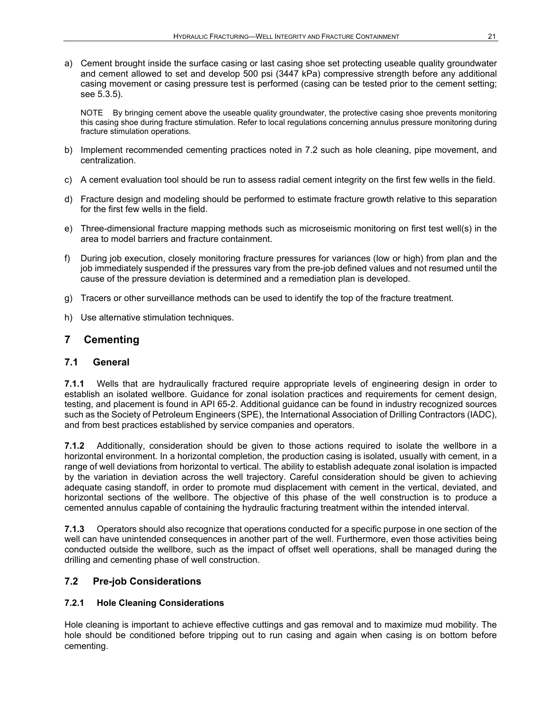a) Cement brought inside the surface casing or last casing shoe set protecting useable quality groundwater and cement allowed to set and develop 500 psi (3447 kPa) compressive strength before any additional casing movement or casing pressure test is performed (casing can be tested prior to the cement setting; see 5.3.5).

NOTE By bringing cement above the useable quality groundwater, the protective casing shoe prevents monitoring this casing shoe during fracture stimulation. Refer to local regulations concerning annulus pressure monitoring during fracture stimulation operations.

- b) Implement recommended cementing practices noted in 7.2 such as hole cleaning, pipe movement, and centralization.
- c) A cement evaluation tool should be run to assess radial cement integrity on the first few wells in the field.
- d) Fracture design and modeling should be performed to estimate fracture growth relative to this separation for the first few wells in the field.
- e) Three-dimensional fracture mapping methods such as microseismic monitoring on first test well(s) in the area to model barriers and fracture containment.
- f) During job execution, closely monitoring fracture pressures for variances (low or high) from plan and the job immediately suspended if the pressures vary from the pre-job defined values and not resumed until the cause of the pressure deviation is determined and a remediation plan is developed.
- g) Tracers or other surveillance methods can be used to identify the top of the fracture treatment.
- h) Use alternative stimulation techniques.

# **7 Cementing**

#### **7.1 General**

**7.1.1** Wells that are hydraulically fractured require appropriate levels of engineering design in order to establish an isolated wellbore. Guidance for zonal isolation practices and requirements for cement design, testing, and placement is found in API 65-2. Additional guidance can be found in industry recognized sources such as the Society of Petroleum Engineers (SPE), the International Association of Drilling Contractors (IADC), and from best practices established by service companies and operators.

**7.1.2** Additionally, consideration should be given to those actions required to isolate the wellbore in a horizontal environment. In a horizontal completion, the production casing is isolated, usually with cement, in a range of well deviations from horizontal to vertical. The ability to establish adequate zonal isolation is impacted by the variation in deviation across the well trajectory. Careful consideration should be given to achieving adequate casing standoff, in order to promote mud displacement with cement in the vertical, deviated, and horizontal sections of the wellbore. The objective of this phase of the well construction is to produce a cemented annulus capable of containing the hydraulic fracturing treatment within the intended interval.

**7.1.3** Operators should also recognize that operations conducted for a specific purpose in one section of the well can have unintended consequences in another part of the well. Furthermore, even those activities being conducted outside the wellbore, such as the impact of offset well operations, shall be managed during the drilling and cementing phase of well construction.

#### **7.2 Pre-job Considerations**

#### **7.2.1 Hole Cleaning Considerations**

Hole cleaning is important to achieve effective cuttings and gas removal and to maximize mud mobility. The hole should be conditioned before tripping out to run casing and again when casing is on bottom before cementing.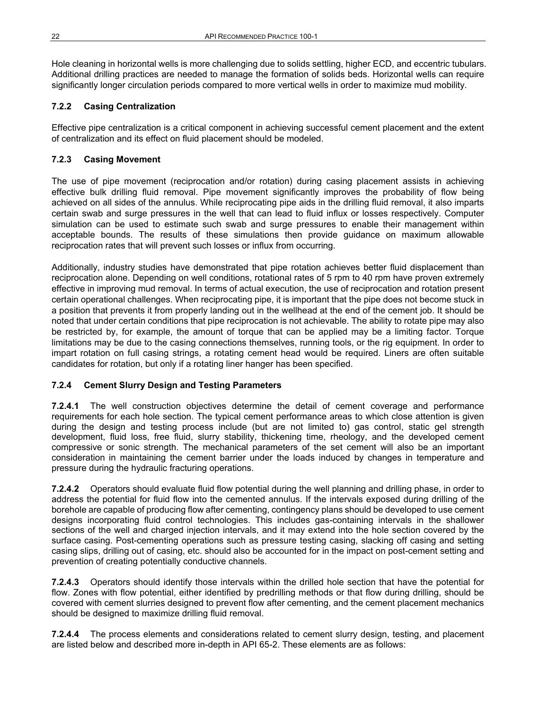Hole cleaning in horizontal wells is more challenging due to solids settling, higher ECD, and eccentric tubulars. Additional drilling practices are needed to manage the formation of solids beds. Horizontal wells can require significantly longer circulation periods compared to more vertical wells in order to maximize mud mobility.

# **7.2.2 Casing Centralization**

Effective pipe centralization is a critical component in achieving successful cement placement and the extent of centralization and its effect on fluid placement should be modeled.

# **7.2.3 Casing Movement**

The use of pipe movement (reciprocation and/or rotation) during casing placement assists in achieving effective bulk drilling fluid removal. Pipe movement significantly improves the probability of flow being achieved on all sides of the annulus. While reciprocating pipe aids in the drilling fluid removal, it also imparts certain swab and surge pressures in the well that can lead to fluid influx or losses respectively. Computer simulation can be used to estimate such swab and surge pressures to enable their management within acceptable bounds. The results of these simulations then provide guidance on maximum allowable reciprocation rates that will prevent such losses or influx from occurring.

Additionally, industry studies have demonstrated that pipe rotation achieves better fluid displacement than reciprocation alone. Depending on well conditions, rotational rates of 5 rpm to 40 rpm have proven extremely effective in improving mud removal. In terms of actual execution, the use of reciprocation and rotation present certain operational challenges. When reciprocating pipe, it is important that the pipe does not become stuck in a position that prevents it from properly landing out in the wellhead at the end of the cement job. It should be noted that under certain conditions that pipe reciprocation is not achievable. The ability to rotate pipe may also be restricted by, for example, the amount of torque that can be applied may be a limiting factor. Torque limitations may be due to the casing connections themselves, running tools, or the rig equipment. In order to impart rotation on full casing strings, a rotating cement head would be required. Liners are often suitable candidates for rotation, but only if a rotating liner hanger has been specified.

#### **7.2.4 Cement Slurry Design and Testing Parameters**

**7.2.4.1** The well construction objectives determine the detail of cement coverage and performance requirements for each hole section. The typical cement performance areas to which close attention is given during the design and testing process include (but are not limited to) gas control, static gel strength development, fluid loss, free fluid, slurry stability, thickening time, rheology, and the developed cement compressive or sonic strength. The mechanical parameters of the set cement will also be an important consideration in maintaining the cement barrier under the loads induced by changes in temperature and pressure during the hydraulic fracturing operations.

**7.2.4.2** Operators should evaluate fluid flow potential during the well planning and drilling phase, in order to address the potential for fluid flow into the cemented annulus. If the intervals exposed during drilling of the borehole are capable of producing flow after cementing, contingency plans should be developed to use cement designs incorporating fluid control technologies. This includes gas-containing intervals in the shallower sections of the well and charged injection intervals, and it may extend into the hole section covered by the surface casing. Post-cementing operations such as pressure testing casing, slacking off casing and setting casing slips, drilling out of casing, etc. should also be accounted for in the impact on post-cement setting and prevention of creating potentially conductive channels.

**7.2.4.3** Operators should identify those intervals within the drilled hole section that have the potential for flow. Zones with flow potential, either identified by predrilling methods or that flow during drilling, should be covered with cement slurries designed to prevent flow after cementing, and the cement placement mechanics should be designed to maximize drilling fluid removal.

**7.2.4.4** The process elements and considerations related to cement slurry design, testing, and placement are listed below and described more in-depth in API 65-2. These elements are as follows: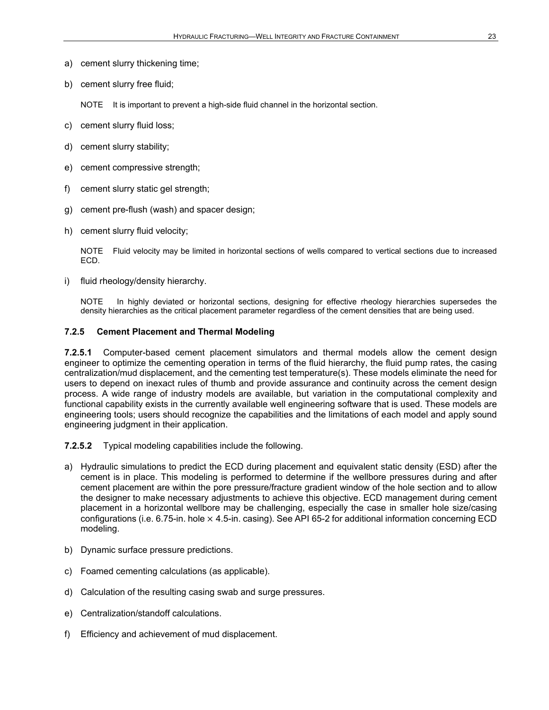- a) cement slurry thickening time;
- b) cement slurry free fluid;

NOTE It is important to prevent a high-side fluid channel in the horizontal section.

- c) cement slurry fluid loss;
- d) cement slurry stability;
- e) cement compressive strength;
- f) cement slurry static gel strength;
- g) cement pre-flush (wash) and spacer design;
- h) cement slurry fluid velocity;

NOTE Fluid velocity may be limited in horizontal sections of wells compared to vertical sections due to increased ECD.

i) fluid rheology/density hierarchy.

NOTE In highly deviated or horizontal sections, designing for effective rheology hierarchies supersedes the density hierarchies as the critical placement parameter regardless of the cement densities that are being used.

#### **7.2.5 Cement Placement and Thermal Modeling**

**7.2.5.1** Computer-based cement placement simulators and thermal models allow the cement design engineer to optimize the cementing operation in terms of the fluid hierarchy, the fluid pump rates, the casing centralization/mud displacement, and the cementing test temperature(s). These models eliminate the need for users to depend on inexact rules of thumb and provide assurance and continuity across the cement design process. A wide range of industry models are available, but variation in the computational complexity and functional capability exists in the currently available well engineering software that is used. These models are engineering tools; users should recognize the capabilities and the limitations of each model and apply sound engineering judgment in their application.

**7.2.5.2** Typical modeling capabilities include the following.

- a) Hydraulic simulations to predict the ECD during placement and equivalent static density (ESD) after the cement is in place. This modeling is performed to determine if the wellbore pressures during and after cement placement are within the pore pressure/fracture gradient window of the hole section and to allow the designer to make necessary adjustments to achieve this objective. ECD management during cement placement in a horizontal wellbore may be challenging, especially the case in smaller hole size/casing configurations (i.e. 6.75-in. hole  $\times$  4.5-in. casing). See API 65-2 for additional information concerning ECD modeling.
- b) Dynamic surface pressure predictions.
- c) Foamed cementing calculations (as applicable).
- d) Calculation of the resulting casing swab and surge pressures.
- e) Centralization/standoff calculations.
- f) Efficiency and achievement of mud displacement.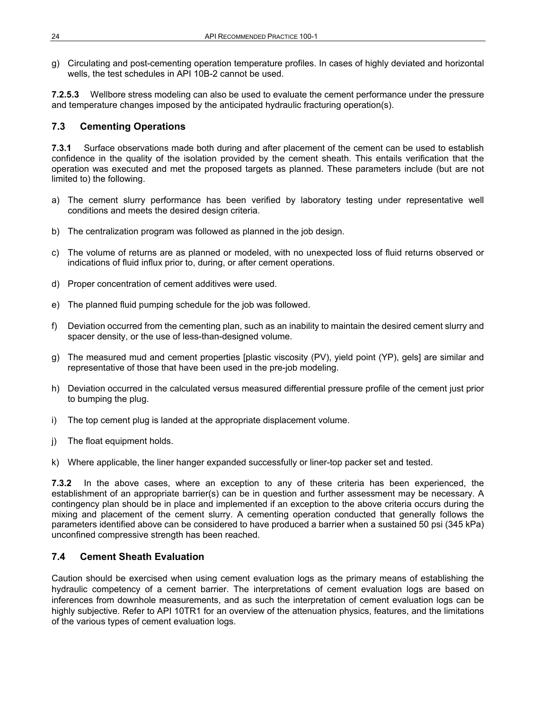g) Circulating and post-cementing operation temperature profiles. In cases of highly deviated and horizontal wells, the test schedules in API 10B-2 cannot be used.

**7.2.5.3** Wellbore stress modeling can also be used to evaluate the cement performance under the pressure and temperature changes imposed by the anticipated hydraulic fracturing operation(s).

# **7.3 Cementing Operations**

**7.3.1** Surface observations made both during and after placement of the cement can be used to establish confidence in the quality of the isolation provided by the cement sheath. This entails verification that the operation was executed and met the proposed targets as planned. These parameters include (but are not limited to) the following.

- a) The cement slurry performance has been verified by laboratory testing under representative well conditions and meets the desired design criteria.
- b) The centralization program was followed as planned in the job design.
- c) The volume of returns are as planned or modeled, with no unexpected loss of fluid returns observed or indications of fluid influx prior to, during, or after cement operations.
- d) Proper concentration of cement additives were used.
- e) The planned fluid pumping schedule for the job was followed.
- f) Deviation occurred from the cementing plan, such as an inability to maintain the desired cement slurry and spacer density, or the use of less-than-designed volume.
- g) The measured mud and cement properties [plastic viscosity (PV), yield point (YP), gels] are similar and representative of those that have been used in the pre-job modeling.
- h) Deviation occurred in the calculated versus measured differential pressure profile of the cement just prior to bumping the plug.
- i) The top cement plug is landed at the appropriate displacement volume.
- j) The float equipment holds.
- k) Where applicable, the liner hanger expanded successfully or liner-top packer set and tested.

**7.3.2** In the above cases, where an exception to any of these criteria has been experienced, the establishment of an appropriate barrier(s) can be in question and further assessment may be necessary. A contingency plan should be in place and implemented if an exception to the above criteria occurs during the mixing and placement of the cement slurry. A cementing operation conducted that generally follows the parameters identified above can be considered to have produced a barrier when a sustained 50 psi (345 kPa) unconfined compressive strength has been reached.

# **7.4 Cement Sheath Evaluation**

Caution should be exercised when using cement evaluation logs as the primary means of establishing the hydraulic competency of a cement barrier. The interpretations of cement evaluation logs are based on inferences from downhole measurements, and as such the interpretation of cement evaluation logs can be highly subjective. Refer to API 10TR1 for an overview of the attenuation physics, features, and the limitations of the various types of cement evaluation logs.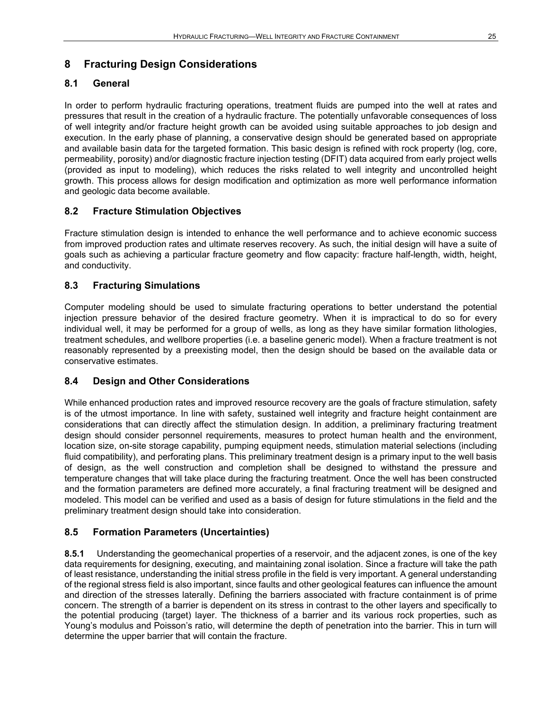# **8 Fracturing Design Considerations**

# **8.1 General**

In order to perform hydraulic fracturing operations, treatment fluids are pumped into the well at rates and pressures that result in the creation of a hydraulic fracture. The potentially unfavorable consequences of loss of well integrity and/or fracture height growth can be avoided using suitable approaches to job design and execution. In the early phase of planning, a conservative design should be generated based on appropriate and available basin data for the targeted formation. This basic design is refined with rock property (log, core, permeability, porosity) and/or diagnostic fracture injection testing (DFIT) data acquired from early project wells (provided as input to modeling), which reduces the risks related to well integrity and uncontrolled height growth. This process allows for design modification and optimization as more well performance information and geologic data become available.

# **8.2 Fracture Stimulation Objectives**

Fracture stimulation design is intended to enhance the well performance and to achieve economic success from improved production rates and ultimate reserves recovery. As such, the initial design will have a suite of goals such as achieving a particular fracture geometry and flow capacity: fracture half-length, width, height, and conductivity.

# **8.3 Fracturing Simulations**

Computer modeling should be used to simulate fracturing operations to better understand the potential injection pressure behavior of the desired fracture geometry. When it is impractical to do so for every individual well, it may be performed for a group of wells, as long as they have similar formation lithologies, treatment schedules, and wellbore properties (i.e. a baseline generic model). When a fracture treatment is not reasonably represented by a preexisting model, then the design should be based on the available data or conservative estimates.

# **8.4 Design and Other Considerations**

While enhanced production rates and improved resource recovery are the goals of fracture stimulation, safety is of the utmost importance. In line with safety, sustained well integrity and fracture height containment are considerations that can directly affect the stimulation design. In addition, a preliminary fracturing treatment design should consider personnel requirements, measures to protect human health and the environment, location size, on-site storage capability, pumping equipment needs, stimulation material selections (including fluid compatibility), and perforating plans. This preliminary treatment design is a primary input to the well basis of design, as the well construction and completion shall be designed to withstand the pressure and temperature changes that will take place during the fracturing treatment. Once the well has been constructed and the formation parameters are defined more accurately, a final fracturing treatment will be designed and modeled. This model can be verified and used as a basis of design for future stimulations in the field and the preliminary treatment design should take into consideration.

# **8.5 Formation Parameters (Uncertainties)**

**8.5.1** Understanding the geomechanical properties of a reservoir, and the adjacent zones, is one of the key data requirements for designing, executing, and maintaining zonal isolation. Since a fracture will take the path of least resistance, understanding the initial stress profile in the field is very important. A general understanding of the regional stress field is also important, since faults and other geological features can influence the amount and direction of the stresses laterally. Defining the barriers associated with fracture containment is of prime concern. The strength of a barrier is dependent on its stress in contrast to the other layers and specifically to the potential producing (target) layer. The thickness of a barrier and its various rock properties, such as Young's modulus and Poisson's ratio, will determine the depth of penetration into the barrier. This in turn will determine the upper barrier that will contain the fracture.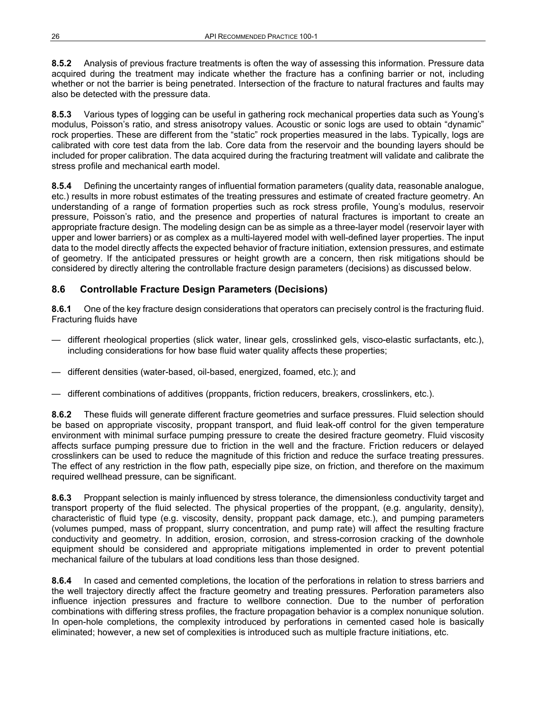**8.5.2** Analysis of previous fracture treatments is often the way of assessing this information. Pressure data acquired during the treatment may indicate whether the fracture has a confining barrier or not, including whether or not the barrier is being penetrated. Intersection of the fracture to natural fractures and faults may also be detected with the pressure data.

**8.5.3** Various types of logging can be useful in gathering rock mechanical properties data such as Young's modulus, Poisson's ratio, and stress anisotropy values. Acoustic or sonic logs are used to obtain "dynamic" rock properties. These are different from the "static" rock properties measured in the labs. Typically, logs are calibrated with core test data from the lab. Core data from the reservoir and the bounding layers should be included for proper calibration. The data acquired during the fracturing treatment will validate and calibrate the stress profile and mechanical earth model.

**8.5.4** Defining the uncertainty ranges of influential formation parameters (quality data, reasonable analogue, etc.) results in more robust estimates of the treating pressures and estimate of created fracture geometry. An understanding of a range of formation properties such as rock stress profile, Young's modulus, reservoir pressure, Poisson's ratio, and the presence and properties of natural fractures is important to create an appropriate fracture design. The modeling design can be as simple as a three-layer model (reservoir layer with upper and lower barriers) or as complex as a multi-layered model with well-defined layer properties. The input data to the model directly affects the expected behavior of fracture initiation, extension pressures, and estimate of geometry. If the anticipated pressures or height growth are a concern, then risk mitigations should be considered by directly altering the controllable fracture design parameters (decisions) as discussed below.

# **8.6 Controllable Fracture Design Parameters (Decisions)**

**8.6.1** One of the key fracture design considerations that operators can precisely control is the fracturing fluid. Fracturing fluids have

- different rheological properties (slick water, linear gels, crosslinked gels, visco-elastic surfactants, etc.), including considerations for how base fluid water quality affects these properties;
- different densities (water-based, oil-based, energized, foamed, etc.); and
- different combinations of additives (proppants, friction reducers, breakers, crosslinkers, etc.).

**8.6.2** These fluids will generate different fracture geometries and surface pressures. Fluid selection should be based on appropriate viscosity, proppant transport, and fluid leak-off control for the given temperature environment with minimal surface pumping pressure to create the desired fracture geometry. Fluid viscosity affects surface pumping pressure due to friction in the well and the fracture. Friction reducers or delayed crosslinkers can be used to reduce the magnitude of this friction and reduce the surface treating pressures. The effect of any restriction in the flow path, especially pipe size, on friction, and therefore on the maximum required wellhead pressure, can be significant.

**8.6.3** Proppant selection is mainly influenced by stress tolerance, the dimensionless conductivity target and transport property of the fluid selected. The physical properties of the proppant, (e.g. angularity, density), characteristic of fluid type (e.g. viscosity, density, proppant pack damage, etc.), and pumping parameters (volumes pumped, mass of proppant, slurry concentration, and pump rate) will affect the resulting fracture conductivity and geometry. In addition, erosion, corrosion, and stress-corrosion cracking of the downhole equipment should be considered and appropriate mitigations implemented in order to prevent potential mechanical failure of the tubulars at load conditions less than those designed.

**8.6.4** In cased and cemented completions, the location of the perforations in relation to stress barriers and the well trajectory directly affect the fracture geometry and treating pressures. Perforation parameters also influence injection pressures and fracture to wellbore connection. Due to the number of perforation combinations with differing stress profiles, the fracture propagation behavior is a complex nonunique solution. In open-hole completions, the complexity introduced by perforations in cemented cased hole is basically eliminated; however, a new set of complexities is introduced such as multiple fracture initiations, etc.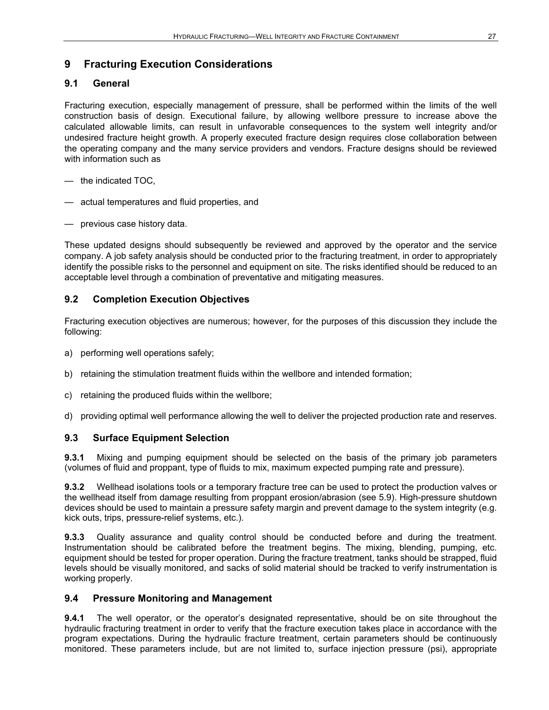# **9 Fracturing Execution Considerations**

# **9.1 General**

Fracturing execution, especially management of pressure, shall be performed within the limits of the well construction basis of design. Executional failure, by allowing wellbore pressure to increase above the calculated allowable limits, can result in unfavorable consequences to the system well integrity and/or undesired fracture height growth. A properly executed fracture design requires close collaboration between the operating company and the many service providers and vendors. Fracture designs should be reviewed with information such as

- the indicated TOC,
- actual temperatures and fluid properties, and
- previous case history data.

These updated designs should subsequently be reviewed and approved by the operator and the service company. A job safety analysis should be conducted prior to the fracturing treatment, in order to appropriately identify the possible risks to the personnel and equipment on site. The risks identified should be reduced to an acceptable level through a combination of preventative and mitigating measures.

# **9.2 Completion Execution Objectives**

Fracturing execution objectives are numerous; however, for the purposes of this discussion they include the following:

- a) performing well operations safely;
- b) retaining the stimulation treatment fluids within the wellbore and intended formation;
- c) retaining the produced fluids within the wellbore;
- d) providing optimal well performance allowing the well to deliver the projected production rate and reserves.

# **9.3 Surface Equipment Selection**

**9.3.1** Mixing and pumping equipment should be selected on the basis of the primary job parameters (volumes of fluid and proppant, type of fluids to mix, maximum expected pumping rate and pressure).

**9.3.2** Wellhead isolations tools or a temporary fracture tree can be used to protect the production valves or the wellhead itself from damage resulting from proppant erosion/abrasion (see 5.9). High-pressure shutdown devices should be used to maintain a pressure safety margin and prevent damage to the system integrity (e.g. kick outs, trips, pressure-relief systems, etc.).

**9.3.3** Quality assurance and quality control should be conducted before and during the treatment. Instrumentation should be calibrated before the treatment begins. The mixing, blending, pumping, etc. equipment should be tested for proper operation. During the fracture treatment, tanks should be strapped, fluid levels should be visually monitored, and sacks of solid material should be tracked to verify instrumentation is working properly.

#### **9.4 Pressure Monitoring and Management**

**9.4.1** The well operator, or the operator's designated representative, should be on site throughout the hydraulic fracturing treatment in order to verify that the fracture execution takes place in accordance with the program expectations. During the hydraulic fracture treatment, certain parameters should be continuously monitored. These parameters include, but are not limited to, surface injection pressure (psi), appropriate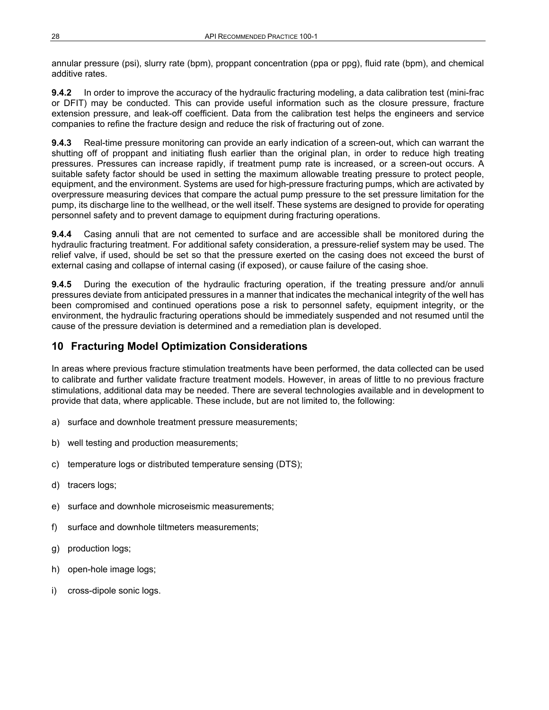annular pressure (psi), slurry rate (bpm), proppant concentration (ppa or ppg), fluid rate (bpm), and chemical additive rates.

**9.4.2** In order to improve the accuracy of the hydraulic fracturing modeling, a data calibration test (mini-frac or DFIT) may be conducted. This can provide useful information such as the closure pressure, fracture extension pressure, and leak-off coefficient. Data from the calibration test helps the engineers and service companies to refine the fracture design and reduce the risk of fracturing out of zone.

**9.4.3** Real-time pressure monitoring can provide an early indication of a screen-out, which can warrant the shutting off of proppant and initiating flush earlier than the original plan, in order to reduce high treating pressures. Pressures can increase rapidly, if treatment pump rate is increased, or a screen-out occurs. A suitable safety factor should be used in setting the maximum allowable treating pressure to protect people, equipment, and the environment. Systems are used for high-pressure fracturing pumps, which are activated by overpressure measuring devices that compare the actual pump pressure to the set pressure limitation for the pump, its discharge line to the wellhead, or the well itself. These systems are designed to provide for operating personnel safety and to prevent damage to equipment during fracturing operations.

**9.4.4** Casing annuli that are not cemented to surface and are accessible shall be monitored during the hydraulic fracturing treatment. For additional safety consideration, a pressure-relief system may be used. The relief valve, if used, should be set so that the pressure exerted on the casing does not exceed the burst of external casing and collapse of internal casing (if exposed), or cause failure of the casing shoe.

**9.4.5** During the execution of the hydraulic fracturing operation, if the treating pressure and/or annuli pressures deviate from anticipated pressures in a manner that indicates the mechanical integrity of the well has been compromised and continued operations pose a risk to personnel safety, equipment integrity, or the environment, the hydraulic fracturing operations should be immediately suspended and not resumed until the cause of the pressure deviation is determined and a remediation plan is developed.

# **10 Fracturing Model Optimization Considerations**

In areas where previous fracture stimulation treatments have been performed, the data collected can be used to calibrate and further validate fracture treatment models. However, in areas of little to no previous fracture stimulations, additional data may be needed. There are several technologies available and in development to provide that data, where applicable. These include, but are not limited to, the following:

- a) surface and downhole treatment pressure measurements;
- b) well testing and production measurements;
- c) temperature logs or distributed temperature sensing (DTS);
- d) tracers logs;
- e) surface and downhole microseismic measurements;
- f) surface and downhole tiltmeters measurements;
- g) production logs;
- h) open-hole image logs;
- i) cross-dipole sonic logs.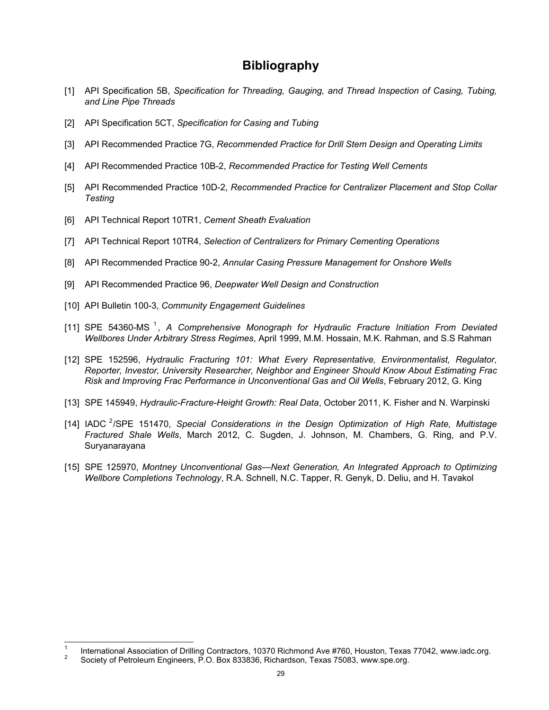# **Bibliography**

- [1] API Specification 5B, *Specification for Threading, Gauging, and Thread Inspection of Casing, Tubing, and Line Pipe Threads*
- [2] API Specification 5CT, *Specification for Casing and Tubing*
- [3] API Recommended Practice 7G, *Recommended Practice for Drill Stem Design and Operating Limits*
- [4] API Recommended Practice 10B-2, *Recommended Practice for Testing Well Cements*
- [5] API Recommended Practice 10D-2, *Recommended Practice for Centralizer Placement and Stop Collar Testing*
- [6] API Technical Report 10TR1, *Cement Sheath Evaluation*
- [7] API Technical Report 10TR4, *Selection of Centralizers for Primary Cementing Operations*
- [8] API Recommended Practice 90-2, *Annular Casing Pressure Management for Onshore Wells*
- [9] API Recommended Practice 96, *Deepwater Well Design and Construction*
- [10] API Bulletin 100-3, *Community Engagement Guidelines*
- [11] SPE 54360-MS<sup>1</sup>, A Comprehensive Monograph for Hydraulic Fracture Initiation From Deviated *Wellbores Under Arbitrary Stress Regimes*, April 1999, M.M. Hossain, M.K. Rahman, and S.S Rahman
- [12] SPE 152596, *Hydraulic Fracturing 101: What Every Representative, Environmentalist, Regulator, Reporter, Investor, University Researcher, Neighbor and Engineer Should Know About Estimating Frac Risk and Improving Frac Performance in Unconventional Gas and Oil Wells*, February 2012, G. King
- [13] SPE 145949, *Hydraulic-Fracture-Height Growth: Real Data*, October 2011, K. Fisher and N. Warpinski
- [14] IADC<sup>2</sup>/SPE 151470, Special Considerations in the Design Optimization of High Rate, Multistage *Fractured Shale Wells*, March 2012, C. Sugden, J. Johnson, M. Chambers, G. Ring, and P.V. Suryanarayana
- [15] SPE 125970, Montney Unconventional Gas—Next Generation, An Integrated Approach to Optimizing *Wellbore Completions Technology*, R.A. Schnell, N.C. Tapper, R. Genyk, D. Deliu, and H. Tavakol

l

<sup>1</sup> International Association of Drilling Contractors, 10370 Richmond Ave #760, Houston, Texas 77042, www.iadc.org.

Society of Petroleum Engineers, P.O. Box 833836, Richardson, Texas 75083, www.spe.org.